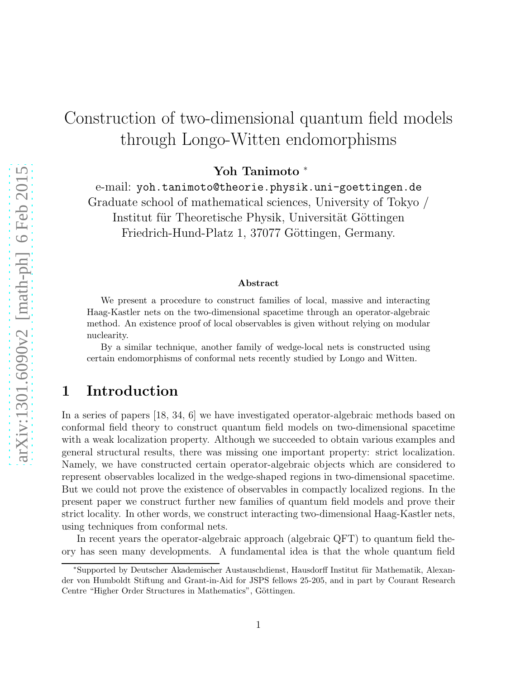# Construction of two-dimensional quantum field models through Longo-Witten endomorphisms

Yoh Tanimoto <sup>∗</sup>

e-mail: yoh.tanimoto@theorie.physik.uni-goettingen.de Graduate school of mathematical sciences, University of Tokyo / Institut für Theoretische Physik, Universität Göttingen Friedrich-Hund-Platz 1, 37077 Göttingen, Germany.

#### Abstract

We present a procedure to construct families of local, massive and interacting Haag-Kastler nets on the two-dimensional spacetime through an operator-algebraic method. An existence proof of local observables is given without relying on modular nuclearity.

By a similar technique, another family of wedge-local nets is constructed using certain endomorphisms of conformal nets recently studied by Longo and Witten.

# 1 Introduction

In a series of papers [18, 34, 6] we have investigated operator-algebraic methods based on conformal field theory to construct quantum field models on two-dimensional spacetime with a weak localization property. Although we succeeded to obtain various examples and general structural results, there was missing one important property: strict localization. Namely, we have constructed certain operator-algebraic objects which are considered to represent observables localized in the wedge-shaped regions in two-dimensional spacetime. But we could not prove the existence of observables in compactly localized regions. In the present paper we construct further new families of quantum field models and prove their strict locality. In other words, we construct interacting two-dimensional Haag-Kastler nets, using techniques from conformal nets.

In recent years the operator-algebraic approach (algebraic QFT) to quantum field theory has seen many developments. A fundamental idea is that the whole quantum field

<sup>\*</sup>Supported by Deutscher Akademischer Austauschdienst, Hausdorff Institut für Mathematik, Alexander von Humboldt Stiftung and Grant-in-Aid for JSPS fellows 25-205, and in part by Courant Research Centre "Higher Order Structures in Mathematics", Göttingen.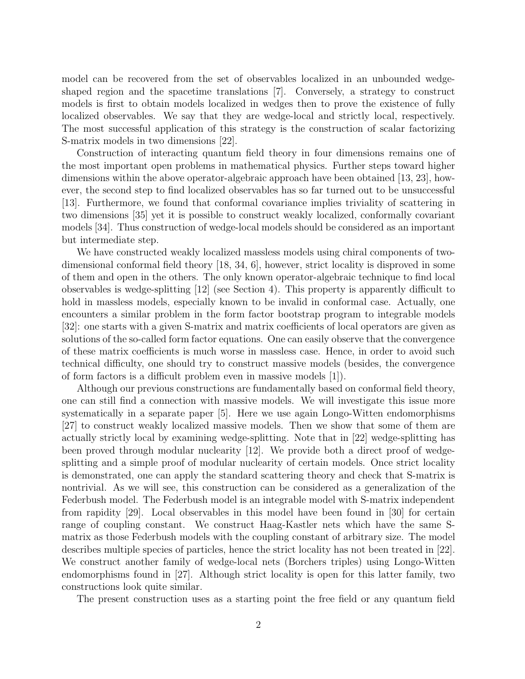model can be recovered from the set of observables localized in an unbounded wedgeshaped region and the spacetime translations [7]. Conversely, a strategy to construct models is first to obtain models localized in wedges then to prove the existence of fully localized observables. We say that they are wedge-local and strictly local, respectively. The most successful application of this strategy is the construction of scalar factorizing S-matrix models in two dimensions [22].

Construction of interacting quantum field theory in four dimensions remains one of the most important open problems in mathematical physics. Further steps toward higher dimensions within the above operator-algebraic approach have been obtained [13, 23], however, the second step to find localized observables has so far turned out to be unsuccessful [13]. Furthermore, we found that conformal covariance implies triviality of scattering in two dimensions [35] yet it is possible to construct weakly localized, conformally covariant models [34]. Thus construction of wedge-local models should be considered as an important but intermediate step.

We have constructed weakly localized massless models using chiral components of twodimensional conformal field theory [18, 34, 6], however, strict locality is disproved in some of them and open in the others. The only known operator-algebraic technique to find local observables is wedge-splitting [12] (see Section 4). This property is apparently difficult to hold in massless models, especially known to be invalid in conformal case. Actually, one encounters a similar problem in the form factor bootstrap program to integrable models [32]: one starts with a given S-matrix and matrix coefficients of local operators are given as solutions of the so-called form factor equations. One can easily observe that the convergence of these matrix coefficients is much worse in massless case. Hence, in order to avoid such technical difficulty, one should try to construct massive models (besides, the convergence of form factors is a difficult problem even in massive models [1]).

Although our previous constructions are fundamentally based on conformal field theory, one can still find a connection with massive models. We will investigate this issue more systematically in a separate paper [5]. Here we use again Longo-Witten endomorphisms [27] to construct weakly localized massive models. Then we show that some of them are actually strictly local by examining wedge-splitting. Note that in [22] wedge-splitting has been proved through modular nuclearity [12]. We provide both a direct proof of wedgesplitting and a simple proof of modular nuclearity of certain models. Once strict locality is demonstrated, one can apply the standard scattering theory and check that S-matrix is nontrivial. As we will see, this construction can be considered as a generalization of the Federbush model. The Federbush model is an integrable model with S-matrix independent from rapidity [29]. Local observables in this model have been found in [30] for certain range of coupling constant. We construct Haag-Kastler nets which have the same Smatrix as those Federbush models with the coupling constant of arbitrary size. The model describes multiple species of particles, hence the strict locality has not been treated in [22]. We construct another family of wedge-local nets (Borchers triples) using Longo-Witten endomorphisms found in [27]. Although strict locality is open for this latter family, two constructions look quite similar.

The present construction uses as a starting point the free field or any quantum field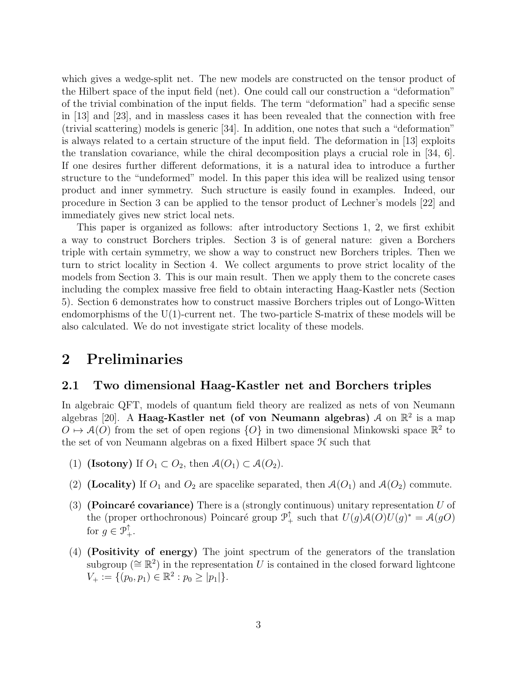which gives a wedge-split net. The new models are constructed on the tensor product of the Hilbert space of the input field (net). One could call our construction a "deformation" of the trivial combination of the input fields. The term "deformation" had a specific sense in [13] and [23], and in massless cases it has been revealed that the connection with free (trivial scattering) models is generic [34]. In addition, one notes that such a "deformation" is always related to a certain structure of the input field. The deformation in [13] exploits the translation covariance, while the chiral decomposition plays a crucial role in [34, 6]. If one desires further different deformations, it is a natural idea to introduce a further structure to the "undeformed" model. In this paper this idea will be realized using tensor product and inner symmetry. Such structure is easily found in examples. Indeed, our procedure in Section 3 can be applied to the tensor product of Lechner's models [22] and immediately gives new strict local nets.

This paper is organized as follows: after introductory Sections 1, 2, we first exhibit a way to construct Borchers triples. Section 3 is of general nature: given a Borchers triple with certain symmetry, we show a way to construct new Borchers triples. Then we turn to strict locality in Section 4. We collect arguments to prove strict locality of the models from Section 3. This is our main result. Then we apply them to the concrete cases including the complex massive free field to obtain interacting Haag-Kastler nets (Section 5). Section 6 demonstrates how to construct massive Borchers triples out of Longo-Witten endomorphisms of the  $U(1)$ -current net. The two-particle S-matrix of these models will be also calculated. We do not investigate strict locality of these models.

# 2 Preliminaries

## 2.1 Two dimensional Haag-Kastler net and Borchers triples

In algebraic QFT, models of quantum field theory are realized as nets of von Neumann algebras [20]. A Haag-Kastler net (of von Neumann algebras)  $\mathcal A$  on  $\mathbb R^2$  is a map  $O \mapsto \mathcal{A}(O)$  from the set of open regions  $\{O\}$  in two dimensional Minkowski space  $\mathbb{R}^2$  to the set of von Neumann algebras on a fixed Hilbert space  $H$  such that

- (1) (Isotony) If  $O_1 \subset O_2$ , then  $\mathcal{A}(O_1) \subset \mathcal{A}(O_2)$ .
- (2) (Locality) If  $O_1$  and  $O_2$  are spacelike separated, then  $\mathcal{A}(O_1)$  and  $\mathcal{A}(O_2)$  commute.
- (3) (Poincaré covariance) There is a (strongly continuous) unitary representation U of the (proper orthochronous) Poincaré group  $\mathcal{P}_+^{\uparrow}$  such that  $U(g)\mathcal{A}(O)U(g)^* = \mathcal{A}(gO)$ for  $g \in \mathcal{P}_+^{\uparrow}$ .
- (4) (Positivity of energy) The joint spectrum of the generators of the translation subgroup ( $\cong \mathbb{R}^2$ ) in the representation U is contained in the closed forward lightcone  $V_+ := \{ (p_0, p_1) \in \mathbb{R}^2 : p_0 \geq |p_1| \}.$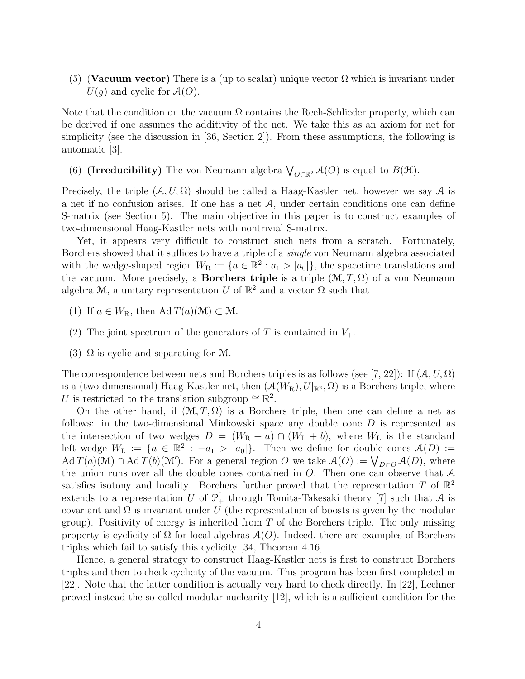(5) (Vacuum vector) There is a (up to scalar) unique vector  $\Omega$  which is invariant under  $U(q)$  and cyclic for  $\mathcal{A}(O)$ .

Note that the condition on the vacuum  $\Omega$  contains the Reeh-Schlieder property, which can be derived if one assumes the additivity of the net. We take this as an axiom for net for simplicity (see the discussion in [36, Section 2]). From these assumptions, the following is automatic [3].

(6) (Irreducibility) The von Neumann algebra  $\bigvee_{O \subset \mathbb{R}^2} A(O)$  is equal to  $B(\mathcal{H})$ .

Precisely, the triple  $(A, U, \Omega)$  should be called a Haag-Kastler net, however we say A is a net if no confusion arises. If one has a net  $A$ , under certain conditions one can define S-matrix (see Section 5). The main objective in this paper is to construct examples of two-dimensional Haag-Kastler nets with nontrivial S-matrix.

Yet, it appears very difficult to construct such nets from a scratch. Fortunately, Borchers showed that it suffices to have a triple of a *single* von Neumann algebra associated with the wedge-shaped region  $W_R := \{a \in \mathbb{R}^2 : a_1 > |a_0|\}$ , the spacetime translations and the vacuum. More precisely, a **Borchers triple** is a triple  $(\mathcal{M}, T, \Omega)$  of a von Neumann algebra M, a unitary representation U of  $\mathbb{R}^2$  and a vector  $\Omega$  such that

- (1) If  $a \in W_R$ , then Ad  $T(a)(\mathcal{M}) \subset \mathcal{M}$ .
- (2) The joint spectrum of the generators of T is contained in  $V_+$ .
- (3)  $\Omega$  is cyclic and separating for M.

The correspondence between nets and Borchers triples is as follows (see [7, 22]): If  $(A, U, \Omega)$ is a (two-dimensional) Haag-Kastler net, then  $(A(W_R), U|_{\mathbb{R}^2}, \Omega)$  is a Borchers triple, where U is restricted to the translation subgroup  $\cong \mathbb{R}^2$ .

On the other hand, if  $(\mathcal{M}, T, \Omega)$  is a Borchers triple, then one can define a net as follows: in the two-dimensional Minkowski space any double cone D is represented as the intersection of two wedges  $D = (W_R + a) \cap (W_L + b)$ , where  $W_L$  is the standard left wedge  $W_L := \{a \in \mathbb{R}^2 : -a_1 > |a_0|\}.$  Then we define for double cones  $\mathcal{A}(D) :=$  $\operatorname{Ad} T(a)(\mathcal{M}) \cap \operatorname{Ad} T(b)(\mathcal{M}')$ . For a general region O we take  $\mathcal{A}(O) := \bigvee_{D \subset O} \mathcal{A}(D)$ , where the union runs over all the double cones contained in  $O$ . Then one can observe that  $\mathcal A$ satisfies isotony and locality. Borchers further proved that the representation T of  $\mathbb{R}^2$ extends to a representation U of  $\mathcal{P}_+^{\uparrow}$  through Tomita-Takesaki theory [7] such that A is covariant and  $\Omega$  is invariant under U (the representation of boosts is given by the modular group). Positivity of energy is inherited from  $T$  of the Borchers triple. The only missing property is cyclicity of  $\Omega$  for local algebras  $\mathcal{A}(O)$ . Indeed, there are examples of Borchers triples which fail to satisfy this cyclicity [34, Theorem 4.16].

Hence, a general strategy to construct Haag-Kastler nets is first to construct Borchers triples and then to check cyclicity of the vacuum. This program has been first completed in [22]. Note that the latter condition is actually very hard to check directly. In [22], Lechner proved instead the so-called modular nuclearity [12], which is a sufficient condition for the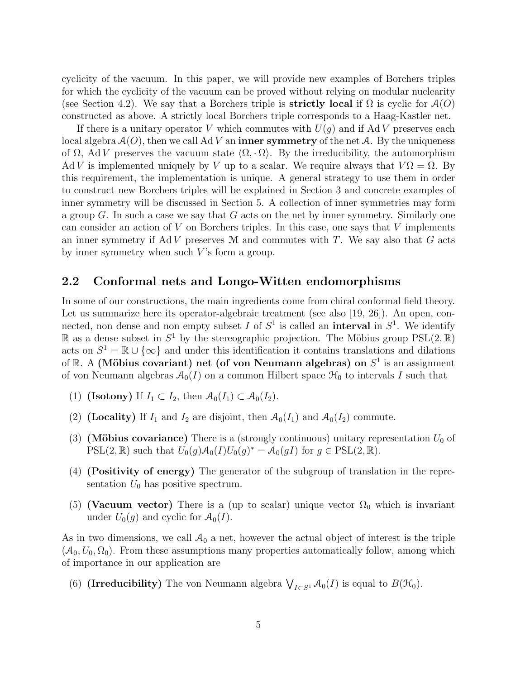cyclicity of the vacuum. In this paper, we will provide new examples of Borchers triples for which the cyclicity of the vacuum can be proved without relying on modular nuclearity (see Section 4.2). We say that a Borchers triple is **strictly local** if  $\Omega$  is cyclic for  $\mathcal{A}(O)$ constructed as above. A strictly local Borchers triple corresponds to a Haag-Kastler net.

If there is a unitary operator V which commutes with  $U(q)$  and if AdV preserves each local algebra  $A(O)$ , then we call Ad V an **inner symmetry** of the net A. By the uniqueness of  $\Omega$ , Ad V preserves the vacuum state  $\langle \Omega, \cdot \Omega \rangle$ . By the irreducibility, the automorphism Ad V is implemented uniquely by V up to a scalar. We require always that  $V\Omega = \Omega$ . By this requirement, the implementation is unique. A general strategy to use them in order to construct new Borchers triples will be explained in Section 3 and concrete examples of inner symmetry will be discussed in Section 5. A collection of inner symmetries may form a group  $G$ . In such a case we say that  $G$  acts on the net by inner symmetry. Similarly one can consider an action of  $V$  on Borchers triples. In this case, one says that  $V$  implements an inner symmetry if  $AdV$  preserves  $M$  and commutes with T. We say also that G acts by inner symmetry when such  $V$ 's form a group.

### 2.2 Conformal nets and Longo-Witten endomorphisms

In some of our constructions, the main ingredients come from chiral conformal field theory. Let us summarize here its operator-algebraic treatment (see also [19, 26]). An open, connected, non dense and non empty subset I of  $S^1$  is called an **interval** in  $S^1$ . We identify  $\mathbb R$  as a dense subset in  $S^1$  by the stereographic projection. The Möbius group  $PSL(2,\mathbb R)$ acts on  $S^1 = \mathbb{R} \cup {\infty}$  and under this identification it contains translations and dilations of R. A (Möbius covariant) net (of von Neumann algebras) on  $S<sup>1</sup>$  is an assignment of von Neumann algebras  $A_0(I)$  on a common Hilbert space  $\mathcal{H}_0$  to intervals I such that

- (1) (Isotony) If  $I_1 \subset I_2$ , then  $\mathcal{A}_0(I_1) \subset \mathcal{A}_0(I_2)$ .
- (2) (**Locality**) If  $I_1$  and  $I_2$  are disjoint, then  $\mathcal{A}_0(I_1)$  and  $\mathcal{A}_0(I_2)$  commute.
- (3) (Möbius covariance) There is a (strongly continuous) unitary representation  $U_0$  of  $PSL(2,\mathbb{R})$  such that  $U_0(g)\mathcal{A}_0(I)U_0(g)^* = \mathcal{A}_0(gI)$  for  $g \in PSL(2,\mathbb{R})$ .
- (4) (Positivity of energy) The generator of the subgroup of translation in the representation  $U_0$  has positive spectrum.
- (5) (Vacuum vector) There is a (up to scalar) unique vector  $\Omega_0$  which is invariant under  $U_0(g)$  and cyclic for  $\mathcal{A}_0(I)$ .

As in two dimensions, we call  $A_0$  a net, however the actual object of interest is the triple  $(\mathcal{A}_0, U_0, \Omega_0)$ . From these assumptions many properties automatically follow, among which of importance in our application are

(6) (Irreducibility) The von Neumann algebra  $\bigvee_{I\subset S^1} \mathcal{A}_0(I)$  is equal to  $B(\mathcal{H}_0)$ .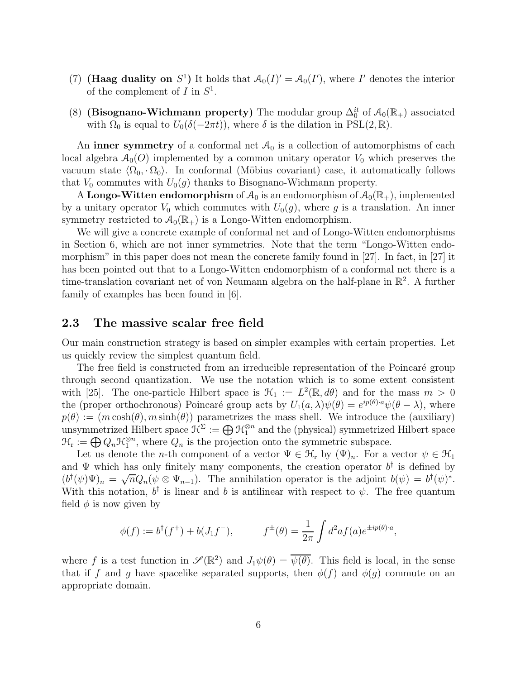- (7) (Haag duality on  $S^1$ ) It holds that  $\mathcal{A}_0(I)' = \mathcal{A}_0(I')$ , where I' denotes the interior of the complement of  $I$  in  $S^1$ .
- (8) (Bisognano-Wichmann property) The modular group  $\Delta_0^{it}$  of  $\mathcal{A}_0(\mathbb{R}_+)$  associated with  $\Omega_0$  is equal to  $U_0(\delta(-2\pi t))$ , where  $\delta$  is the dilation in PSL(2, R).

An inner symmetry of a conformal net  $\mathcal{A}_0$  is a collection of automorphisms of each local algebra  $A_0(O)$  implemented by a common unitary operator  $V_0$  which preserves the vacuum state  $\langle \Omega_0, \cdot \Omega_0 \rangle$ . In conformal (Möbius covariant) case, it automatically follows that  $V_0$  commutes with  $U_0(g)$  thanks to Bisognano-Wichmann property.

A Longo-Witten endomorphism of  $\mathcal{A}_0$  is an endomorphism of  $\mathcal{A}_0(\mathbb{R}_+)$ , implemented by a unitary operator  $V_0$  which commutes with  $U_0(q)$ , where g is a translation. An inner symmetry restricted to  $\mathcal{A}_0(\mathbb{R}_+)$  is a Longo-Witten endomorphism.

We will give a concrete example of conformal net and of Longo-Witten endomorphisms in Section 6, which are not inner symmetries. Note that the term "Longo-Witten endomorphism" in this paper does not mean the concrete family found in [27]. In fact, in [27] it has been pointed out that to a Longo-Witten endomorphism of a conformal net there is a time-translation covariant net of von Neumann algebra on the half-plane in  $\mathbb{R}^2$ . A further family of examples has been found in [6].

#### 2.3 The massive scalar free field

Our main construction strategy is based on simpler examples with certain properties. Let us quickly review the simplest quantum field.

The free field is constructed from an irreducible representation of the Poincaré group through second quantization. We use the notation which is to some extent consistent with [25]. The one-particle Hilbert space is  $\mathcal{H}_1 := L^2(\mathbb{R}, d\theta)$  and for the mass  $m > 0$ the (proper orthochronous) Poincaré group acts by  $U_1(a,\lambda)\psi(\theta) = e^{ip(\theta)\cdot a}\psi(\theta - \lambda)$ , where  $p(\theta) := (m \cosh(\theta), m \sinh(\theta))$  parametrizes the mass shell. We introduce the (auxiliary) unsymmetrized Hilbert space  $\mathcal{H}^{\Sigma}:=\bigoplus \mathcal{H}_1^{\otimes n}$  and the (physical) symmetrized Hilbert space  $\mathcal{H}_{\rm r} := \bigoplus Q_n \mathcal{H}_1^{\otimes n}$ , where  $Q_n$  is the projection onto the symmetric subspace.

Let us denote the *n*-th component of a vector  $\Psi \in \mathcal{H}_r$  by  $(\Psi)_n$ . For a vector  $\psi \in \mathcal{H}_1$ and  $\Psi$  which has only finitely many components, the creation operator  $b^{\dagger}$  is defined by  $(b^{\dagger}(\psi)\Psi)_n = \sqrt{n}Q_n(\psi \otimes \Psi_{n-1})$ . The annihilation operator is the adjoint  $b(\psi) = b^{\dagger}(\psi)^*$ . With this notation,  $b^{\dagger}$  is linear and b is antilinear with respect to  $\psi$ . The free quantum field  $\phi$  is now given by

$$
\phi(f) := b^{\dagger}(f^+) + b(J_1f^-),
$$
  $f^{\pm}(\theta) = \frac{1}{2\pi} \int d^2af(a)e^{\pm ip(\theta)\cdot a},$ 

where f is a test function in  $\mathscr{S}(\mathbb{R}^2)$  and  $J_1\psi(\theta) = \overline{\psi(\theta)}$ . This field is local, in the sense that if f and g have spacelike separated supports, then  $\phi(f)$  and  $\phi(q)$  commute on an appropriate domain.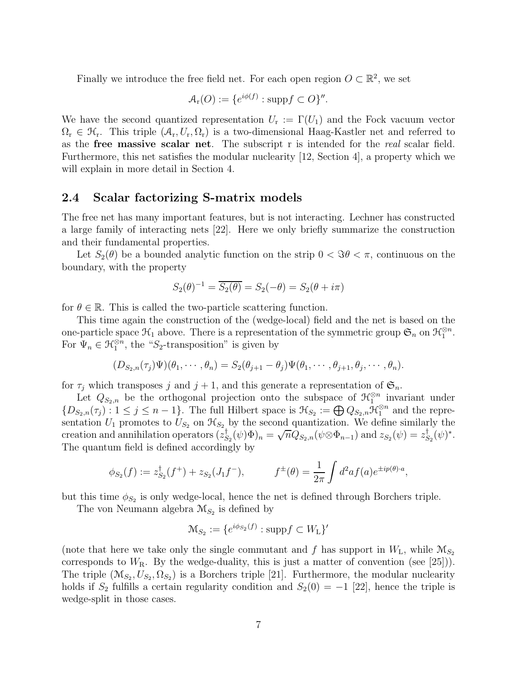Finally we introduce the free field net. For each open region  $O \subset \mathbb{R}^2$ , we set

$$
\mathcal{A}_{r}(O) := \{e^{i\phi(f)} : \text{supp} f \subset O\}''.
$$

We have the second quantized representation  $U_r := \Gamma(U_1)$  and the Fock vacuum vector  $\Omega_r \in \mathcal{H}_r$ . This triple  $(\mathcal{A}_r, U_r, \Omega_r)$  is a two-dimensional Haag-Kastler net and referred to as the free massive scalar net. The subscript r is intended for the *real* scalar field. Furthermore, this net satisfies the modular nuclearity [12, Section 4], a property which we will explain in more detail in Section 4.

#### 2.4 Scalar factorizing S-matrix models

The free net has many important features, but is not interacting. Lechner has constructed a large family of interacting nets [22]. Here we only briefly summarize the construction and their fundamental properties.

Let  $S_2(\theta)$  be a bounded analytic function on the strip  $0 < \Im \theta < \pi$ , continuous on the boundary, with the property

$$
S_2(\theta)^{-1} = \overline{S_2(\theta)} = S_2(-\theta) = S_2(\theta + i\pi)
$$

for  $\theta \in \mathbb{R}$ . This is called the two-particle scattering function.

This time again the construction of the (wedge-local) field and the net is based on the one-particle space  $\mathcal{H}_1$  above. There is a representation of the symmetric group  $\mathfrak{S}_n$  on  $\mathcal{H}_1^{\otimes n}$ . For  $\Psi_n \in \mathcal{H}_1^{\otimes n}$ , the "S<sub>2</sub>-transposition" is given by

$$
(D_{S_2,n}(\tau_j)\Psi)(\theta_1,\cdots,\theta_n)=S_2(\theta_{j+1}-\theta_j)\Psi(\theta_1,\cdots,\theta_{j+1},\theta_j,\cdots,\theta_n).
$$

for  $\tau_j$  which transposes j and  $j + 1$ , and this generate a representation of  $\mathfrak{S}_n$ .

Let  $Q_{S_2,n}$  be the orthogonal projection onto the subspace of  $\mathcal{H}_1^{\otimes n}$  invariant under  $\{D_{S_2,n}(\tau_j): 1 \leq j \leq n-1\}$ . The full Hilbert space is  $\mathcal{H}_{S_2} := \bigoplus Q_{S_2,n} \mathcal{H}_1^{\otimes n}$  and the representation  $U_1$  promotes to  $U_{S_2}$  on  $\mathcal{H}_{S_2}$  by the second quantization. We define similarly the creation and annihilation operators  $(z_{S_2}^{\dagger}(\psi)\Phi)_n = \sqrt{n}Q_{S_2,n}(\psi \otimes \Phi_{n-1})$  and  $z_{S_2}(\psi) = z_{S_2}^{\dagger}(\psi)^*$ . The quantum field is defined accordingly by

$$
\phi_{S_2}(f) := z_{S_2}^{\dagger}(f^+) + z_{S_2}(J_1f^-),
$$
\n $f^{\pm}(\theta) = \frac{1}{2\pi} \int d^2af(a)e^{\pm ip(\theta)\cdot a},$ 

but this time  $\phi_{S_2}$  is only wedge-local, hence the net is defined through Borchers triple.

The von Neumann algebra  $\mathcal{M}_{S_2}$  is defined by

$$
\mathcal{M}_{S_2} := \{e^{i\phi_{S_2}(f)} : \text{supp} f \subset W_L\}'
$$

(note that here we take only the single commutant and f has support in  $W<sub>L</sub>$ , while  $M<sub>S<sub>2</sub></sub>$ corresponds to  $W_{\rm R}$ . By the wedge-duality, this is just a matter of convention (see [25])). The triple  $(\mathcal{M}_{S_2}, U_{S_2}, \Omega_{S_2})$  is a Borchers triple [21]. Furthermore, the modular nuclearity holds if  $S_2$  fulfills a certain regularity condition and  $S_2(0) = -1$  [22], hence the triple is wedge-split in those cases.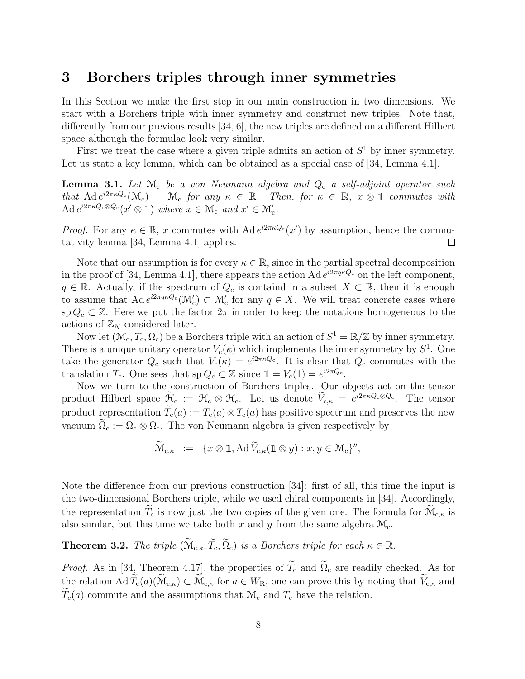# 3 Borchers triples through inner symmetries

In this Section we make the first step in our main construction in two dimensions. We start with a Borchers triple with inner symmetry and construct new triples. Note that, differently from our previous results [34, 6], the new triples are defined on a different Hilbert space although the formulae look very similar.

First we treat the case where a given triple admits an action of  $S<sup>1</sup>$  by inner symmetry. Let us state a key lemma, which can be obtained as a special case of [34, Lemma 4.1].

Lemma 3.1. *Let* M<sup>c</sup> *be a von Neumann algebra and* Q<sup>c</sup> *a self-adjoint operator such that*  $\text{Ad } e^{i2\pi\kappa Q_c}(\mathcal{M}_c) = \mathcal{M}_c$  *for any*  $\kappa \in \mathbb{R}$ *. Then, for*  $\kappa \in \mathbb{R}$ *,*  $x \otimes \mathbb{1}$  *commutes with*  $\operatorname{Ad} e^{i2\pi\kappa Q_{\mathbf{c}}\otimes Q_{\mathbf{c}}}(x' \otimes \mathbb{1})$  *where*  $x \in \mathcal{M}_{\mathbf{c}}$  *and*  $x' \in \mathcal{M}'_{\mathbf{c}}$ *.* 

*Proof.* For any  $\kappa \in \mathbb{R}$ , x commutes with Ad  $e^{i2\pi \kappa Q_c}(x')$  by assumption, hence the commutativity lemma [34, Lemma 4.1] applies.  $\Box$ 

Note that our assumption is for every  $\kappa \in \mathbb{R}$ , since in the partial spectral decomposition in the proof of [34, Lemma 4.1], there appears the action Ad  $e^{i2\pi q\kappa Q_c}$  on the left component,  $q \in \mathbb{R}$ . Actually, if the spectrum of  $Q_c$  is containd in a subset  $X \subset \mathbb{R}$ , then it is enough to assume that  $\text{Ad } e^{i2\pi q\kappa Q_c}(\mathcal{M}_c') \subset \mathcal{M}_c'$  for any  $q \in X$ . We will treat concrete cases where sp  $Q_c \subset \mathbb{Z}$ . Here we put the factor  $2\pi$  in order to keep the notations homogeneous to the actions of  $\mathbb{Z}_N$  considered later.

Now let  $(\mathcal{M}_c, T_c, \Omega_c)$  be a Borchers triple with an action of  $S^1 = \mathbb{R}/\mathbb{Z}$  by inner symmetry. There is a unique unitary operator  $V_c(\kappa)$  which implements the inner symmetry by  $S^1$ . One take the generator  $Q_c$  such that  $V_c(\kappa) = e^{i2\pi\kappa Q_c}$ . It is clear that  $Q_c$  commutes with the translation  $T_c$ . One sees that  $sp Q_c \subset \mathbb{Z}$  since  $\mathbb{1} = V_c(1) = e^{i2\pi Q_c}$ .

Now we turn to the construction of Borchers triples. Our objects act on the tensor product Hilbert space  $\widetilde{\mathcal{H}}_{c} := \mathcal{H}_{c} \otimes \mathcal{H}_{c}$ . Let us denote  $\widetilde{V}_{c,\kappa} = e^{i2\pi\kappa Q_{c} \otimes Q_{c}}$ . The tensor product representation  $\tilde{T}_{c}(a) := T_{c}(a) \otimes T_{c}(a)$  has positive spectrum and preserves the new vacuum  $\tilde{\Omega}_{c} := \Omega_{c} \otimes \Omega_{c}$ . The von Neumann algebra is given respectively by

$$
\widetilde{\mathcal{M}}_{c,\kappa} \ := \ \{ x \otimes \mathbb{1}, \operatorname{Ad} \widetilde{V}_{c,\kappa}(\mathbb{1} \otimes y) : x, y \in \mathcal{M}_c \}''
$$

Note the difference from our previous construction [34]: first of all, this time the input is the two-dimensional Borchers triple, while we used chiral components in [34]. Accordingly, the representation  $\widetilde{T}_{c}$  is now just the two copies of the given one. The formula for  $\widetilde{M}_{c,\kappa}$  is also similar, but this time we take both x and y from the same algebra  $\mathcal{M}_c$ .

**Theorem 3.2.** *The triple*  $(\widetilde{M}_{c,\kappa}, \widetilde{T}_c, \widetilde{\Omega}_c)$  *is a Borchers triple for each*  $\kappa \in \mathbb{R}$ *.* 

*Proof.* As in [34, Theorem 4.17], the properties of  $\widetilde{T}_{c}$  and  $\widetilde{\Omega}_{c}$  are readily checked. As for the relation  $\operatorname{Ad} \widetilde{T}_{c}(a)(\widetilde{\mathcal{M}}_{c,\kappa}) \subset \widetilde{\mathcal{M}}_{c,\kappa}$  for  $a \in W_{R}$ , one can prove this by noting that  $\widetilde{V}_{c,\kappa}$  and  $T_c(a)$  commute and the assumptions that  $\mathcal{M}_c$  and  $T_c$  have the relation.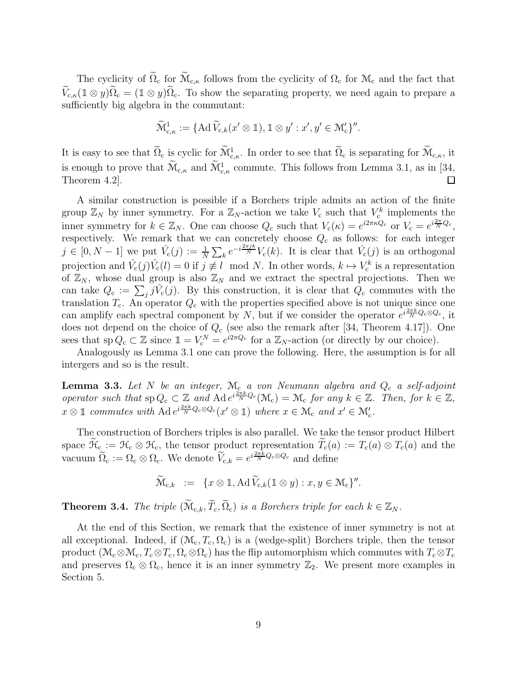The cyclicity of  $\widetilde{\Omega}_c$  for  $\widetilde{\mathcal{M}}_{c,\kappa}$  follows from the cyclicity of  $\Omega_c$  for  $\mathcal{M}_c$  and the fact that  $\widetilde{V}_{c,\kappa}(1\otimes y)\widetilde{\Omega}_c=(1\otimes y)\widetilde{\Omega}_c$ . To show the separating property, we need again to prepare a sufficiently big algebra in the commutant:

$$
\widetilde{\mathcal{M}}_{c,\kappa}^1 := \{ \mathrm{Ad}\, \widetilde{V}_{c,k}(x' \otimes \mathbb{1}), \mathbb{1} \otimes y' : x', y' \in \mathcal{M}_c'\}''.
$$

It is easy to see that  $\widetilde{\Omega}_{c}$  is cyclic for  $\widetilde{\mathcal{M}}_{c,\kappa}^{1}$ . In order to see that  $\widetilde{\Omega}_{c}$  is separating for  $\widetilde{\mathcal{M}}_{c,\kappa}$ , it is enough to prove that  $\widetilde{M}_{c,\kappa}$  and  $\widetilde{M}_{c,\kappa}^1$  commute. This follows from Lemma 3.1, as in [34, Theorem 4.2].  $\Box$ 

A similar construction is possible if a Borchers triple admits an action of the finite group  $\mathbb{Z}_N$  by inner symmetry. For a  $\mathbb{Z}_N$ -action we take  $V_c$  such that  $V_c^k$  implements the inner symmetry for  $k \in \mathbb{Z}_N$ . One can choose  $Q_c$  such that  $V_c(\kappa) = e^{i2\pi\kappa Q_c}$  or  $V_c = e^{i\frac{2\pi}{N}Q_c}$ , respectively. We remark that we can concretely choose  $Q_c$  as follows: for each integer  $j \in [0, N-1]$  we put  $\hat{V}_c(j) := \frac{1}{N} \sum_k e^{-i\frac{2\pi jk}{N}} V_c(k)$ . It is clear that  $\hat{V}_c(j)$  is an orthogonal projection and  $\hat{V}_c(j)\hat{V}_c(l) = 0$  if  $j \not\equiv l \mod N$ . In other words,  $k \mapsto V_c^k$  is a representation of  $\mathbb{Z}_N$ , whose dual group is also  $\mathbb{Z}_N$  and we extract the spectral projections. Then we can take  $Q_c := \sum_j j \hat{V}_c(j)$ . By this construction, it is clear that  $Q_c$  commutes with the translation  $T_c$ . An operator  $Q_c$  with the properties specified above is not unique since one can amplify each spectral component by N, but if we consider the operator  $e^{i\frac{2\pi k}{N}Q_c\otimes Q_c}$ , it does not depend on the choice of  $Q_c$  (see also the remark after [34, Theorem 4.17]). One sees that  $sp Q_c \subset \mathbb{Z}$  since  $\mathbb{1} = V_c^N = e^{i2\pi Q_c}$  for a  $\mathbb{Z}_N$ -action (or directly by our choice).

Analogously as Lemma 3.1 one can prove the following. Here, the assumption is for all intergers and so is the result.

Lemma 3.3. Let N be an integer,  $M_c$  *a von Neumann algebra and*  $Q_c$  *a self-adjoint operator such that*  $\text{sp } Q_c \subset \mathbb{Z}$  *and*  $\text{Ad } e^{i\frac{2\pi k}{N}Q_c}(\mathcal{M}_c) = \mathcal{M}_c$  *for any*  $k \in \mathbb{Z}$ *. Then, for*  $k \in \mathbb{Z}$ *,*  $x \otimes \mathbb{1}$  *commutes with*  $\text{Ad} e^{i\frac{2\pi k}{N}Q_c \otimes Q_c}(x' \otimes \mathbb{1})$  *where*  $x \in \mathcal{M}_c$  *and*  $x' \in \mathcal{M}'_c$ *.* 

The construction of Borchers triples is also parallel. We take the tensor product Hilbert space  $\widetilde{\mathcal{H}}_{c} := \mathcal{H}_{c} \otimes \mathcal{H}_{c}$ , the tensor product representation  $\widetilde{T}_{c}(a) := T_{c}(a) \otimes T_{c}(a)$  and the vacuum  $\widetilde{\Omega}_{c} := \Omega_{c} \otimes \Omega_{c}$ . We denote  $\widetilde{V}_{c,k} = e^{i\frac{2\pi k}{N}Q_{c} \otimes Q_{c}}$  and define

$$
\widetilde{\mathcal{M}}_{c,k} \ := \ \{ x \otimes \mathbb{1}, \operatorname{Ad} \widetilde{V}_{c,k}(\mathbb{1} \otimes y) : x, y \in \mathcal{M}_c \}''.
$$

**Theorem 3.4.** *The triple*  $(\widetilde{M}_{c,k}, \widetilde{T}_c, \widetilde{\Omega}_c)$  *is a Borchers triple for each*  $k \in \mathbb{Z}_N$ *.* 

At the end of this Section, we remark that the existence of inner symmetry is not at all exceptional. Indeed, if  $(\mathcal{M}_c, T_c, \Omega_c)$  is a (wedge-split) Borchers triple, then the tensor product  $(\mathcal{M}_c \otimes \mathcal{M}_c, T_c \otimes T_c, \Omega_c \otimes \Omega_c)$  has the flip automorphism which commutes with  $T_c \otimes T_c$ and preserves  $\Omega_c \otimes \Omega_c$ , hence it is an inner symmetry  $\mathbb{Z}_2$ . We present more examples in Section 5.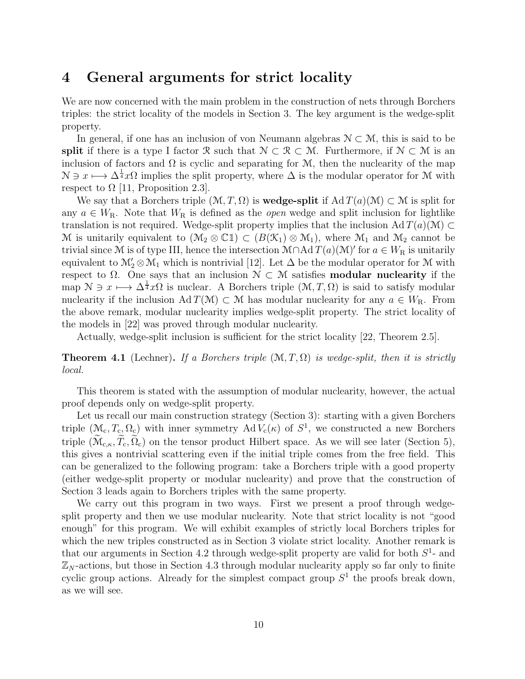# 4 General arguments for strict locality

We are now concerned with the main problem in the construction of nets through Borchers triples: the strict locality of the models in Section 3. The key argument is the wedge-split property.

In general, if one has an inclusion of von Neumann algebras  $\mathcal{N} \subset \mathcal{M}$ , this is said to be split if there is a type I factor R such that  $\mathcal{N} \subset \mathcal{R} \subset \mathcal{M}$ . Furthermore, if  $\mathcal{N} \subset \mathcal{M}$  is an inclusion of factors and  $\Omega$  is cyclic and separating for  $\mathcal{M}$ , then the nuclearity of the map  $\mathcal{N} \ni x \longmapsto \Delta^{\frac{1}{4}} x \Omega$  implies the split property, where  $\Delta$  is the modular operator for M with respect to  $\Omega$  [11, Proposition 2.3].

We say that a Borchers triple  $(\mathcal{M}, T, \Omega)$  is **wedge-split** if  $\text{Ad }T(a)(\mathcal{M}) \subset \mathcal{M}$  is split for any  $a \in W_R$ . Note that  $W_R$  is defined as the *open* wedge and split inclusion for lightlike translation is not required. Wedge-split property implies that the inclusion Ad  $T(a)(\mathcal{M}) \subset$ M is unitarily equivalent to  $(\mathcal{M}_2 \otimes \mathbb{C} \mathbb{1}) \subset (B(\mathcal{K}_1) \otimes \mathcal{M}_1)$ , where  $\mathcal{M}_1$  and  $\mathcal{M}_2$  cannot be trivial since M is of type III, hence the intersection  $\mathcal{M}\cap\mathrm{Ad}\,T(a)(\mathcal{M})'$  for  $a\in W_{\mathcal{R}}$  is unitarily equivalent to  $\mathcal{M}'_2 \otimes \mathcal{M}_1$  which is nontrivial [12]. Let  $\Delta$  be the modular operator for  $\mathcal{M}$  with respect to  $\Omega$ . One says that an inclusion  $\mathcal{N} \subset \mathcal{M}$  satisfies **modular nuclearity** if the map  $\mathcal{N} \ni x \longmapsto \Delta^{\frac{1}{4}} x \Omega$  is nuclear. A Borchers triple  $(\mathcal{M}, T, \Omega)$  is said to satisfy modular nuclearity if the inclusion Ad  $T(\mathcal{M}) \subset \mathcal{M}$  has modular nuclearity for any  $a \in W_R$ . From the above remark, modular nuclearity implies wedge-split property. The strict locality of the models in [22] was proved through modular nuclearity.

Actually, wedge-split inclusion is sufficient for the strict locality [22, Theorem 2.5].

**Theorem 4.1** (Lechner). If a Borchers triple  $(\mathcal{M}, T, \Omega)$  is wedge-split, then it is strictly *local.*

This theorem is stated with the assumption of modular nuclearity, however, the actual proof depends only on wedge-split property.

Let us recall our main construction strategy (Section 3): starting with a given Borchers triple  $(\mathcal{M}_c, T_c, \Omega_c)$  with inner symmetry Ad  $V_c(\kappa)$  of  $S^1$ , we constructed a new Borchers triple  $(\widetilde{\mathcal{M}}_{c,\kappa}, \widetilde{T}_c, \widetilde{\Omega}_c)$  on the tensor product Hilbert space. As we will see later (Section 5), this gives a nontrivial scattering even if the initial triple comes from the free field. This can be generalized to the following program: take a Borchers triple with a good property (either wedge-split property or modular nuclearity) and prove that the construction of Section 3 leads again to Borchers triples with the same property.

We carry out this program in two ways. First we present a proof through wedgesplit property and then we use modular nuclearity. Note that strict locality is not "good enough" for this program. We will exhibit examples of strictly local Borchers triples for which the new triples constructed as in Section 3 violate strict locality. Another remark is that our arguments in Section 4.2 through wedge-split property are valid for both  $S<sup>1</sup>$ - and  $\mathbb{Z}_N$ -actions, but those in Section 4.3 through modular nuclearity apply so far only to finite cyclic group actions. Already for the simplest compact group  $S<sup>1</sup>$  the proofs break down, as we will see.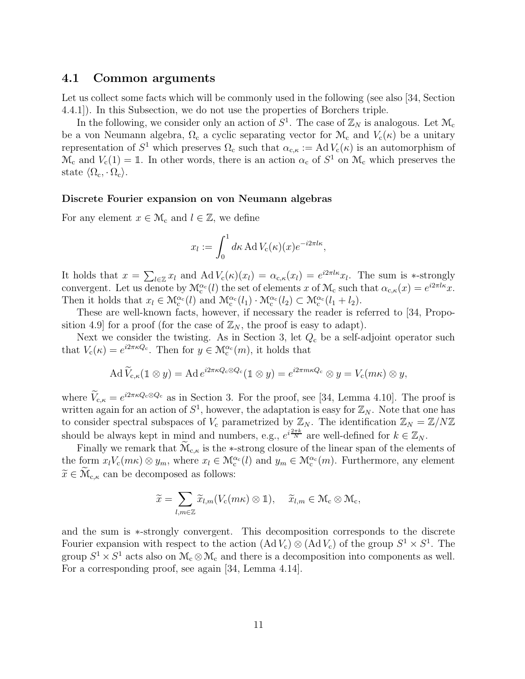#### 4.1 Common arguments

Let us collect some facts which will be commonly used in the following (see also [34, Section 4.4.1]). In this Subsection, we do not use the properties of Borchers triple.

In the following, we consider only an action of  $S^1$ . The case of  $\mathbb{Z}_N$  is analogous. Let  $\mathcal{M}_c$ be a von Neumann algebra,  $\Omega_c$  a cyclic separating vector for  $\mathcal{M}_c$  and  $V_c(\kappa)$  be a unitary representation of  $S^1$  which preserves  $\Omega_c$  such that  $\alpha_{c,\kappa} := Ad V_c(\kappa)$  is an automorphism of  $\mathcal{M}_{c}$  and  $V_{c}(1) = 1$ . In other words, there is an action  $\alpha_{c}$  of  $S^{1}$  on  $\mathcal{M}_{c}$  which preserves the state  $\langle \Omega_{\rm c}, \cdot \Omega_{\rm c} \rangle$ .

#### Discrete Fourier expansion on von Neumann algebras

For any element  $x \in \mathcal{M}_c$  and  $l \in \mathbb{Z}$ , we define

$$
x_l := \int_0^1 d\kappa \operatorname{Ad} V_c(\kappa)(x) e^{-i2\pi l \kappa},
$$

It holds that  $x = \sum_{l \in \mathbb{Z}} x_l$  and  $\text{Ad} V_c(\kappa)(x_l) = \alpha_{c,\kappa}(x_l) = e^{i2\pi l\kappa} x_l$ . The sum is \*-strongly convergent. Let us denote by  $\mathcal{M}_{c}^{\alpha_{c}}(l)$  the set of elements x of  $\mathcal{M}_{c}$  such that  $\alpha_{c,\kappa}(x) = e^{i2\pi l\kappa}x$ . Then it holds that  $x_l \in \mathcal{M}_c^{\alpha_c}(l)$  and  $\mathcal{M}_c^{\alpha_c}(l_1) \cdot \mathcal{M}_c^{\alpha_c}(l_2) \subset \mathcal{M}_c^{\alpha_c}(l_1 + l_2)$ .

These are well-known facts, however, if necessary the reader is referred to [34, Proposition 4.9 for a proof (for the case of  $\mathbb{Z}_N$ , the proof is easy to adapt).

Next we consider the twisting. As in Section 3, let  $Q_c$  be a self-adjoint operator such that  $V_c(\kappa) = e^{i2\pi\kappa Q_c}$ . Then for  $y \in \mathcal{M}_c^{\alpha_c}(m)$ , it holds that

$$
\operatorname{Ad} \widetilde{V}_{c,\kappa}(\mathbb{1} \otimes y) = \operatorname{Ad} e^{i2\pi\kappa Q_c \otimes Q_c}(\mathbb{1} \otimes y) = e^{i2\pi m\kappa Q_c} \otimes y = V_c(m\kappa) \otimes y,
$$

where  $V_{c,\kappa} = e^{i2\pi\kappa Q_c \otimes Q_c}$  as in Section 3. For the proof, see [34, Lemma 4.10]. The proof is written again for an action of  $S^1$ , however, the adaptation is easy for  $\mathbb{Z}_N$ . Note that one has to consider spectral subspaces of  $V_c$  parametrized by  $\mathbb{Z}_N$ . The identification  $\mathbb{Z}_N = \mathbb{Z}/N\mathbb{Z}$ should be always kept in mind and numbers, e.g.,  $e^{i\frac{2\pi k}{N}}$  are well-defined for  $k \in \mathbb{Z}_N$ .

Finally we remark that  $\widetilde{\mathcal{M}}_{c,\kappa}$  is the ∗-strong closure of the linear span of the elements of the form  $x_l V_c(m\kappa) \otimes y_m$ , where  $x_l \in \mathcal{M}_c^{\alpha_c}(l)$  and  $y_m \in \mathcal{M}_c^{\alpha_c}(m)$ . Furthermore, any element  $\widetilde{x} \in \widetilde{\mathcal{M}}_{c,\kappa}$  can be decomposed as follows:

$$
\widetilde{x} = \sum_{l,m \in \mathbb{Z}} \widetilde{x}_{l,m}(V_c(m\kappa) \otimes \mathbb{1}), \quad \widetilde{x}_{l,m} \in \mathcal{M}_c \otimes \mathcal{M}_c,
$$

and the sum is ∗-strongly convergent. This decomposition corresponds to the discrete Fourier expansion with respect to the action  $(Ad V_c) \otimes (Ad V_c)$  of the group  $S^1 \times S^1$ . The group  $S^1 \times S^1$  acts also on  $\mathcal{M}_c \otimes \mathcal{M}_c$  and there is a decomposition into components as well. For a corresponding proof, see again [34, Lemma 4.14].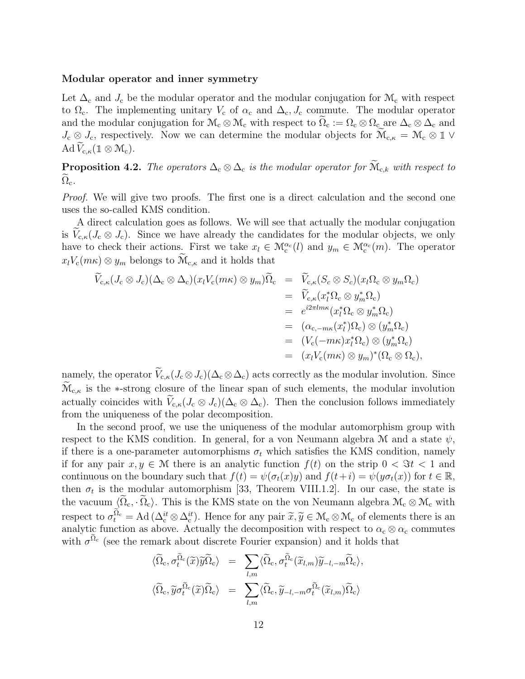#### Modular operator and inner symmetry

Let  $\Delta_c$  and  $J_c$  be the modular operator and the modular conjugation for  $\mathcal{M}_c$  with respect to  $\Omega_c$ . The implementing unitary  $V_c$  of  $\alpha_c$  and  $\Delta_c$ ,  $J_c$  commute. The modular operator and the modular conjugation for  $\mathcal{M}_c \otimes \mathcal{M}_c$  with respect to  $\Omega_c := \Omega_c \otimes \Omega_c$  are  $\Delta_c \otimes \Delta_c$  and  $J_c \otimes J_c$ , respectively. Now we can determine the modular objects for  $\widetilde{M}_{c,\kappa} = \mathcal{M}_c \otimes \mathbb{1} \vee$ Ad  $\widetilde{V}_{c,\kappa}(\mathbb{1} \otimes \mathcal{M}_c)$ .

**Proposition 4.2.** The operators  $\Delta_{\rm c} \otimes \Delta_{\rm c}$  is the modular operator for  $\widetilde{M}_{\rm c,k}$  with respect to  $\Omega_{\rm c}$ .

*Proof.* We will give two proofs. The first one is a direct calculation and the second one uses the so-called KMS condition.

A direct calculation goes as follows. We will see that actually the modular conjugation is  $V_{c,\kappa}(J_c \otimes J_c)$ . Since we have already the candidates for the modular objects, we only have to check their actions. First we take  $x_l \in \mathcal{M}_c^{\alpha_c}(l)$  and  $y_m \in \mathcal{M}_c^{\alpha_c}(m)$ . The operator  $x_l V_c(m\kappa) \otimes y_m$  belongs to  $\widetilde{\mathcal{M}}_{c,\kappa}$  and it holds that

$$
\widetilde{V}_{c,\kappa}(J_c \otimes J_c)(\Delta_c \otimes \Delta_c)(x_l V_c(m\kappa) \otimes y_m)\widetilde{\Omega}_c = \widetilde{V}_{c,\kappa}(S_c \otimes S_c)(x_l \Omega_c \otimes y_m \Omega_c)
$$
\n
$$
= \widetilde{V}_{c,\kappa}(x_l^* \Omega_c \otimes y_m^* \Omega_c)
$$
\n
$$
= e^{i2\pi l m \kappa}(x_l^* \Omega_c \otimes y_m^* \Omega_c)
$$
\n
$$
= (\alpha_{c,-m \kappa}(x_l^*) \Omega_c) \otimes (y_m^* \Omega_c)
$$
\n
$$
= (V_c(-m \kappa)x_l^* \Omega_c) \otimes (y_m^* \Omega_c)
$$
\n
$$
= (x_l V_c(m \kappa) \otimes y_m)^* (\Omega_c \otimes \Omega_c),
$$

namely, the operator  $\widetilde{V}_{c,\kappa}(J_c \otimes J_c)(\Delta_c \otimes \Delta_c)$  acts correctly as the modular involution. Since  $\widetilde{\mathcal{M}}_{c,\kappa}$  is the ∗-strong closure of the linear span of such elements, the modular involution actually coincides with  $V_{c,\kappa}(J_c \otimes J_c)(\Delta_c \otimes \Delta_c)$ . Then the conclusion follows immediately from the uniqueness of the polar decomposition.

In the second proof, we use the uniqueness of the modular automorphism group with respect to the KMS condition. In general, for a von Neumann algebra M and a state  $\psi$ , if there is a one-parameter automorphisms  $\sigma_t$  which satisfies the KMS condition, namely if for any pair  $x, y \in \mathcal{M}$  there is an analytic function  $f(t)$  on the strip  $0 < \Im t < 1$  and continuous on the boundary such that  $f(t) = \psi(\sigma_t(x)y)$  and  $f(t+i) = \psi(y\sigma_t(x))$  for  $t \in \mathbb{R}$ , then  $\sigma_t$  is the modular automorphism [33, Theorem VIII.1.2]. In our case, the state is the vacuum  $\langle \tilde{\Omega}_{c}, \tilde{\Omega}_{c} \rangle$ . This is the KMS state on the von Neumann algebra  $\mathcal{M}_{c} \otimes \mathcal{M}_{c}$  with respect to  $\sigma_t^{\tilde{\Omega}_c} = \text{Ad}(\Delta_c^{it} \otimes \Delta_c^{it})$ . Hence for any pair  $\tilde{x}, \tilde{y} \in \mathcal{M}_c \otimes \mathcal{M}_c$  of elements there is an analytic function as above. Actually the decomposition with respect to  $\alpha_c \otimes \alpha_c$  commutes with  $\sigma^{\tilde{\Omega}_{c}}$  (see the remark about discrete Fourier expansion) and it holds that

$$
\begin{array}{rcl}\n\langle \widetilde{\Omega}_{\rm c}, \sigma_t^{\widetilde{\Omega}_{\rm c}}(\widetilde{x})\widetilde{y}\widetilde{\Omega}_{\rm c}\rangle & = & \sum_{l,m}\langle \widetilde{\Omega}_{\rm c}, \sigma_t^{\widetilde{\Omega}_{\rm c}}(\widetilde{x}_{l,m})\widetilde{y}_{-l,-m}\widetilde{\Omega}_{\rm c}\rangle, \\
\langle \widetilde{\Omega}_{\rm c}, \widetilde{y}\sigma_t^{\widetilde{\Omega}_{\rm c}}(\widetilde{x})\widetilde{\Omega}_{\rm c}\rangle & = & \sum_{l,m}\langle \widetilde{\Omega}_{\rm c}, \widetilde{y}_{-l,-m}\sigma_t^{\widetilde{\Omega}_{\rm c}}(\widetilde{x}_{l,m})\widetilde{\Omega}_{\rm c}\rangle\n\end{array}
$$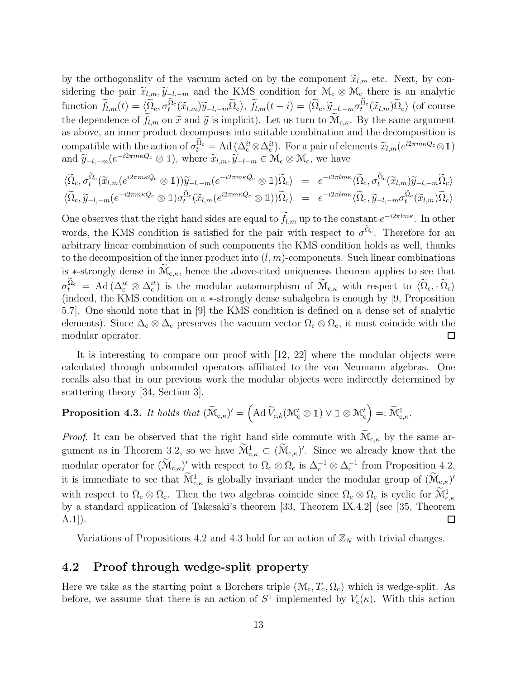by the orthogonality of the vacuum acted on by the component  $\tilde{x}_{l,m}$  etc. Next, by considering the pair  $\tilde{x}_{l,m}$ ,  $\tilde{y}_{-l,-m}$  and the KMS condition for  $\mathcal{M}_{c} \otimes \mathcal{M}_{c}$  there is an analytic function  $\widetilde{f}_{l,m}(t) = \langle \widetilde{\Omega}_c, \sigma_t^{\widetilde{\Omega}_c}(\widetilde{x}_{l,m})\widetilde{y}_{-l,-m}\widetilde{\Omega}_c\rangle$ ,  $\widetilde{f}_{l,m}(t + i) = \langle \widetilde{\Omega}_c, \widetilde{y}_{-l,-m}\sigma_t^{\widetilde{\Omega}_c}(\widetilde{x}_{l,m})\widetilde{\Omega}_c\rangle$  (of course the dependence of  $\tilde{f}_{l,m}$  on  $\tilde{x}$  and  $\tilde{y}$  is implicit). Let us turn to  $\widetilde{\mathcal{M}}_{c,\kappa}$ . By the same argument as above, an inner product decomposes into suitable combination and the decomposition is compatible with the action of  $\sigma_t^{\tilde{\Omega}_c} = \text{Ad}(\Delta_c^{it} \otimes \Delta_c^{it})$ . For a pair of elements  $\tilde{x}_{l,m}(e^{i2\pi m\kappa Q_c} \otimes \mathbb{1})$ and  $\widetilde{y}_{-l,-m}(e^{-i2\pi m\kappa Q_c}\otimes \mathbb{1}),$  where  $\widetilde{x}_{l,m}, \widetilde{y}_{-l-m}\in \mathcal{M}_c\otimes \mathcal{M}_c$ , we have

$$
\begin{array}{rcl}\n\langle \widetilde{\Omega}_{\rm c}, \sigma_t^{\widetilde{\Omega}_{\rm c}}(\widetilde{x}_{l,m}(e^{i2\pi m\kappa Q_{\rm c}}\otimes 1))\widetilde{y}_{-l,-m}(e^{-i2\pi m\kappa Q_{\rm c}}\otimes 1)\widetilde{\Omega}_{\rm c}\rangle & = & e^{-i2\pi l m\kappa}\langle \widetilde{\Omega}_{\rm c}, \sigma_t^{\widetilde{\Omega}_{\rm c}}(\widetilde{x}_{l,m})\widetilde{y}_{-l,-m}\widetilde{\Omega}_{\rm c}\rangle \\
\langle \widetilde{\Omega}_{\rm c}, \widetilde{y}_{-l,-m}(e^{-i2\pi m\kappa Q_{\rm c}}\otimes 1)\sigma_t^{\widetilde{\Omega}_{\rm c}}(\widetilde{x}_{l,m}(e^{i2\pi m\kappa Q_{\rm c}}\otimes 1))\widetilde{\Omega}_{\rm c}\rangle & = & e^{-i2\pi l m\kappa}\langle \widetilde{\Omega}_{\rm c}, \widetilde{y}_{-l,-m}\sigma_t^{\widetilde{\Omega}_{\rm c}}(\widetilde{x}_{l,m})\widetilde{\Omega}_{\rm c}\rangle\n\end{array}
$$

One observes that the right hand sides are equal to  $f_{l,m}$  up to the constant  $e^{-i2\pi l m \kappa}$ . In other words, the KMS condition is satisfied for the pair with respect to  $\sigma^{\tilde{\Omega}_{c}}$ . Therefore for an arbitrary linear combination of such components the KMS condition holds as well, thanks to the decomposition of the inner product into  $(l, m)$ -components. Such linear combinations is \*-strongly dense in  $\widetilde{\mathcal{M}}_{c,\kappa}$ , hence the above-cited uniqueness theorem applies to see that  $\sigma_t^{\tilde{\Omega}_c} = \text{Ad}(\Delta_c^{it} \otimes \Delta_c^{it})$  is the modular automorphism of  $\widetilde{\mathcal{M}}_{c,\kappa}$  with respect to  $\langle \widetilde{\Omega}_c, \cdot, \widetilde{\Omega}_c \rangle$ (indeed, the KMS condition on a ∗-strongly dense subalgebra is enough by [9, Proposition 5.7]. One should note that in [9] the KMS condition is defined on a dense set of analytic elements). Since  $\Delta_c \otimes \Delta_c$  preserves the vacuum vector  $\Omega_c \otimes \Omega_c$ , it must coincide with the modular operator. Ш

It is interesting to compare our proof with [12, 22] where the modular objects were calculated through unbounded operators affiliated to the von Neumann algebras. One recalls also that in our previous work the modular objects were indirectly determined by scattering theory [34, Section 3].

**Proposition 4.3.** It holds that 
$$
(\widetilde{\mathcal{M}}_{c,\kappa})' = (\text{Ad }\widetilde{V}_{c,k}(\mathcal{M}_c' \otimes \mathbb{1}) \vee \mathbb{1} \otimes \mathcal{M}_c') =: \widetilde{\mathcal{M}}_{c,\kappa}^1
$$
.

*Proof.* It can be observed that the right hand side commute with  $\widetilde{\mathcal{M}}_{c,\kappa}$  by the same argument as in Theorem 3.2, so we have  $\widetilde{\mathcal{M}}_{c,\kappa}^1 \subset (\widetilde{\mathcal{M}}_{c,\kappa})'$ . Since we already know that the modular operator for  $(\widetilde{M}_{c,\kappa})'$  with respect to  $\Omega_c \otimes \Omega_c$  is  $\Delta_c^{-1} \otimes \Delta_c^{-1}$  from Proposition 4.2, it is immediate to see that  $\widetilde{\mathcal{M}}_{c,\kappa}^1$  is globally invariant under the modular group of  $(\widetilde{\mathcal{M}}_{c,\kappa})'$ with respect to  $\Omega_c \otimes \Omega_c$ . Then the two algebras coincide since  $\Omega_c \otimes \Omega_c$  is cyclic for  $\widetilde{\mathcal{M}}_{c,\kappa}^1$ by a standard application of Takesaki's theorem [33, Theorem IX.4.2] (see [35, Theorem  $A.1$ ].  $\Box$ 

Variations of Propositions 4.2 and 4.3 hold for an action of  $\mathbb{Z}_N$  with trivial changes.

### 4.2 Proof through wedge-split property

Here we take as the starting point a Borchers triple  $(\mathcal{M}_c, T_c, \Omega_c)$  which is wedge-split. As before, we assume that there is an action of  $S^1$  implemented by  $V_c(\kappa)$ . With this action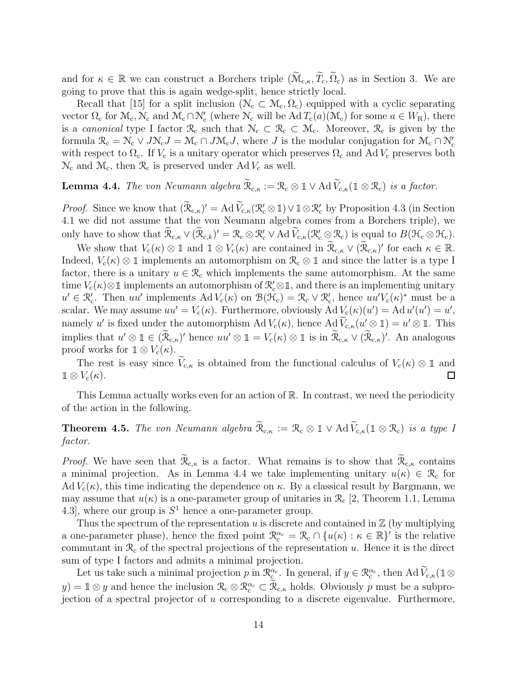and for  $\kappa \in \mathbb{R}$  we can construct a Borchers triple  $(\widetilde{\mathcal{M}}_{c,\kappa}, \widetilde{T}_c, \widetilde{\Omega}_c)$  as in Section 3. We are going to prove that this is again wedge-split, hence strictly local.

Recall that [15] for a split inclusion ( $\mathcal{N}_c \subset \mathcal{M}_c, \Omega_c$ ) equipped with a cyclic separating vector  $\Omega_c$  for  $\mathcal{M}_c$ ,  $\mathcal{N}_c$  and  $\mathcal{M}_c \cap \mathcal{N}_c'$  (where  $\mathcal{N}_c$  will be  $Ad T_c(a)(\mathcal{M}_c)$  for some  $a \in W_R$ ), there is a *canonical* type I factor  $\mathcal{R}_c$  such that  $\mathcal{N}_c \subset \mathcal{R}_c \subset \mathcal{M}_c$ . Moreover,  $\mathcal{R}_c$  is given by the formula  $\mathcal{R}_{c} = \mathcal{N}_{c} \vee J \mathcal{N}_{c}J = \mathcal{M}_{c} \cap J \mathcal{M}_{c}J$ , where J is the modular conjugation for  $\mathcal{M}_{c} \cap \mathcal{N}'_{c}$ with respect to  $\Omega_c$ . If  $V_c$  is a unitary operator which preserves  $\Omega_c$  and Ad  $V_c$  preserves both  $\mathcal{N}_{\rm c}$  and  $\mathcal{M}_{\rm c}$ , then  $\mathcal{R}_{\rm c}$  is preserved under Ad  $V_{\rm c}$  as well.

**Lemma 4.4.** *The von Neumann algebra*  $\widetilde{\mathcal{R}}_{c,\kappa} := \mathcal{R}_c \otimes \mathbb{1} \vee \text{Ad}\,\widetilde{V}_{c,\kappa}(\mathbb{1} \otimes \mathcal{R}_c)$  *is a factor.* 

*Proof.* Since we know that  $(\widetilde{\mathcal{R}}_{c,\kappa})' = \text{Ad }\widetilde{V}_{c,\kappa}(\mathcal{R}_c' \otimes \mathbb{1}) \vee \mathbb{1} \otimes \mathcal{R}_c'$  by Proposition 4.3 (in Section 4.1 we did not assume that the von Neumann algebra comes from a Borchers triple), we only have to show that  $\widetilde{\mathcal{R}}_{c,\kappa} \vee (\widetilde{\mathcal{R}}_{c,k})' = \mathcal{R}_c \otimes \mathcal{R}'_c \vee \text{Ad}\,\widetilde{V}_{c,\kappa}(\mathcal{R}'_c \otimes \mathcal{R}_c)$  is equal to  $B(\mathcal{H}_c \otimes \mathcal{H}_c)$ .

We show that  $V_c(\kappa) \otimes \mathbb{1}$  and  $\mathbb{1} \otimes V_c(\kappa)$  are contained in  $\widetilde{\mathcal{R}}_{c,\kappa} \vee (\widetilde{\mathcal{R}}_{c,\kappa})'$  for each  $\kappa \in \mathbb{R}$ . Indeed,  $V_c(\kappa) \otimes \mathbb{1}$  implements an automorphism on  $\mathcal{R}_c \otimes \mathbb{1}$  and since the latter is a type I factor, there is a unitary  $u \in \mathcal{R}_c$  which implements the same automorphism. At the same time  $V_c(\kappa) \otimes \mathbb{1}$  implements an automorphism of  $\mathcal{R}'_c \otimes \mathbb{1}$ , and there is an implementing unitary  $u' \in \mathcal{R}'_c$ . Then uu' implements Ad  $V_c(\kappa)$  on  $\mathcal{B}(\tilde{\mathcal{H}}_c) = \mathcal{R}_c \vee \mathcal{R}'_c$ , hence  $uu'V_c(\kappa)^*$  must be a scalar. We may assume  $uu' = V_c(\kappa)$ . Furthermore, obviously Ad  $V_c(\kappa)(u') = \mathrm{Ad} u'(u') = u'$ , namely u' is fixed under the automorphism  $\text{Ad }V_c(\kappa)$ , hence  $\text{Ad }V_{c,\kappa}(u' \otimes 1) = u' \otimes 1$ . This implies that  $u' \otimes \mathbb{1} \in (\widetilde{\mathcal{R}}_{c,\kappa})'$  hence  $uu' \otimes \mathbb{1} = V_c(\kappa) \otimes \mathbb{1}$  is in  $\widetilde{\mathcal{R}}_{c,\kappa} \vee (\widetilde{\mathcal{R}}_{c,\kappa})'$ . An analogous proof works for  $\mathbb{1} \otimes V_c(\kappa)$ .

The rest is easy since  $V_{c,\kappa}$  is obtained from the functional calculus of  $V_c(\kappa) \otimes \mathbb{1}$  and  $V_c(\kappa)$ .  $\mathbb{1} \otimes V_{\rm c}(\kappa)$ .

This Lemma actually works even for an action of R. In contrast, we need the periodicity of the action in the following.

**Theorem 4.5.** *The von Neumann algebra*  $\widetilde{\mathcal{R}}_{c,\kappa} := \mathcal{R}_c \otimes \mathbb{1} \vee \text{Ad}\,\widetilde{V}_{c,\kappa}(\mathbb{1} \otimes \mathcal{R}_c)$  *is a type I factor.*

*Proof.* We have seen that  $\widetilde{\mathcal{R}}_{c,\kappa}$  is a factor. What remains is to show that  $\widetilde{\mathcal{R}}_{c,\kappa}$  contains a minimal projection. As in Lemma 4.4 we take implementing unitary  $u(\kappa) \in \mathcal{R}_c$  for Ad  $V_c(\kappa)$ , this time indicating the dependence on  $\kappa$ . By a classical result by Bargmann, we may assume that  $u(\kappa)$  is a one-parameter group of unitaries in  $\mathcal{R}_c$  [2, Theorem 1.1, Lemma 4.3], where our group is  $S^1$  hence a one-parameter group.

Thus the spectrum of the representation  $u$  is discrete and contained in  $\mathbb Z$  (by multiplying a one-parameter phase), hence the fixed point  $\mathbb{R}_{c}^{\alpha_{c}} = \mathbb{R}_{c} \cap \{u(\kappa) : \kappa \in \mathbb{R}\}'$  is the relative commutant in  $\mathcal{R}_c$  of the spectral projections of the representation u. Hence it is the direct sum of type I factors and admits a minimal projection.

Let us take such a minimal projection p in  $\mathcal{R}_{\mathcal{C}}^{\alpha_{\mathcal{C}}}$ . In general, if  $y \in \mathcal{R}_{\mathcal{C}}^{\alpha_{\mathcal{C}}}$ , then Ad  $\widetilde{V}_{\mathcal{C},\kappa}(\mathbb{1} \otimes$  $(y) = \mathbb{1} \otimes y$  and hence the inclusion  $\mathcal{R}_{c} \otimes \mathcal{R}_{c}^{\alpha_{c}} \subset \widetilde{\mathcal{R}}_{c,\kappa}$  holds. Obviously p must be a subprojection of a spectral projector of u corresponding to a discrete eigenvalue. Furthermore,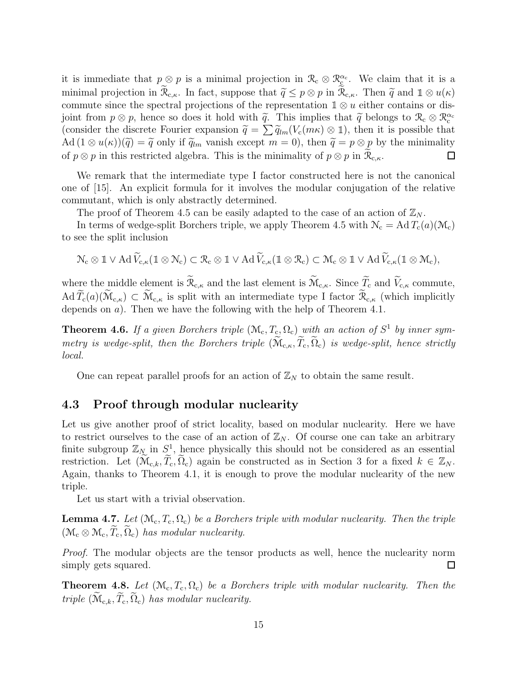it is immediate that  $p \otimes p$  is a minimal projection in  $\mathcal{R}_c \otimes \mathcal{R}_{\mathcal{L}}^{\alpha_c}$ . We claim that it is a minimal projection in  $\widetilde{\mathcal{R}}_{c,\kappa}$ . In fact, suppose that  $\widetilde{q} \leq p \otimes p$  in  $\widetilde{\mathcal{R}}_{c,\kappa}$ . Then  $\widetilde{q}$  and  $1 \otimes u(\kappa)$ commute since the spectral projections of the representation  $\mathbb{1} \otimes u$  either contains or disjoint from  $p \otimes p$ , hence so does it hold with  $\tilde{q}$ . This implies that  $\tilde{q}$  belongs to  $\mathcal{R}_c \otimes \mathcal{R}_c^{\alpha_c}$ (consider the discrete Fourier expansion  $\widetilde{q} = \sum \widetilde{q}_{lm}(V_c(m\kappa) \otimes 1)$ , then it is possible that Ad  $(1 \otimes u(\kappa))(\tilde{q}) = \tilde{q}$  only if  $\tilde{q}_{lm}$  vanish except  $m = 0$ , then  $\tilde{q} = p \otimes p$  by the minimality of  $p \otimes p$  in  $\tilde{\mathcal{R}}_{c,\kappa}$ . of  $p \otimes p$  in this restricted algebra. This is the minimality of  $p \otimes p$  in  $\widetilde{\mathcal{R}}_{c,\kappa}$ .

We remark that the intermediate type I factor constructed here is not the canonical one of [15]. An explicit formula for it involves the modular conjugation of the relative commutant, which is only abstractly determined.

The proof of Theorem 4.5 can be easily adapted to the case of an action of  $\mathbb{Z}_N$ .

In terms of wedge-split Borchers triple, we apply Theorem 4.5 with  $\mathcal{N}_{\rm c} = \text{Ad}T_{\rm c}(a)(\mathcal{M}_{\rm c})$ to see the split inclusion

$$
\mathcal{N}_c\otimes 1\vee\operatorname{Ad}\widetilde{V}_{c,\kappa}(1\otimes \mathcal{N}_c)\subset \mathcal{R}_c\otimes 1\vee\operatorname{Ad}\widetilde{V}_{c,\kappa}(1\otimes \mathcal{R}_c)\subset \mathcal{M}_c\otimes 1\vee\operatorname{Ad}\widetilde{V}_{c,\kappa}(1\otimes \mathcal{M}_c),
$$

where the middle element is  $\widetilde{\mathfrak{R}}_{c,\kappa}$  and the last element is  $\widetilde{\mathfrak{M}}_{c,\kappa}$ . Since  $\widetilde{\mathcal{I}}_c$  and  $\widetilde{V}_{c,\kappa}$  commute,  $\operatorname{Ad}\widetilde{T}_{c}(a)(\widetilde{\mathcal{M}}_{c,\kappa})\subset \widetilde{\mathcal{M}}_{c,\kappa}$  is split with an intermediate type I factor  $\widetilde{\mathcal{R}}_{c,\kappa}$  (which implicitly depends on a). Then we have the following with the help of Theorem 4.1.

**Theorem 4.6.** If a given Borchers triple  $(\mathcal{M}_c, T_c, \Omega_c)$  with an action of  $S^1$  by inner sym*metry is wedge-split, then the Borchers triple*  $(\widetilde{M}_{c,\kappa}, \widetilde{T}_c, \widetilde{\Omega}_c)$  *is wedge-split, hence strictly local.*

One can repeat parallel proofs for an action of  $\mathbb{Z}_N$  to obtain the same result.

## 4.3 Proof through modular nuclearity

Let us give another proof of strict locality, based on modular nuclearity. Here we have to restrict ourselves to the case of an action of  $\mathbb{Z}_N$ . Of course one can take an arbitrary finite subgroup  $\mathbb{Z}_N$  in  $S^1$ , hence physically this should not be considered as an essential restriction. Let  $(\widetilde{\mathcal{M}}_{c,k}, \widetilde{T}_c, \widetilde{\Omega}_c)$  again be constructed as in Section 3 for a fixed  $k \in \mathbb{Z}_N$ . Again, thanks to Theorem 4.1, it is enough to prove the modular nuclearity of the new triple.

Let us start with a trivial observation.

**Lemma 4.7.** Let  $(\mathcal{M}_c, T_c, \Omega_c)$  be a Borchers triple with modular nuclearity. Then the triple  $(\mathcal{M}_{\rm c}\otimes\mathcal{M}_{\rm c},\widetilde{T}_{\rm c},\widetilde{\Omega}_{\rm c})$  *has modular nuclearity.* 

*Proof.* The modular objects are the tensor products as well, hence the nuclearity norm simply gets squared.  $\Box$ 

**Theorem 4.8.** Let  $(\mathcal{M}_c, T_c, \Omega_c)$  be a Borchers triple with modular nuclearity. Then the *triple*  $(\widetilde{M}_{c,k}, \widetilde{T}_c, \widetilde{\Omega}_c)$  *has modular nuclearity.*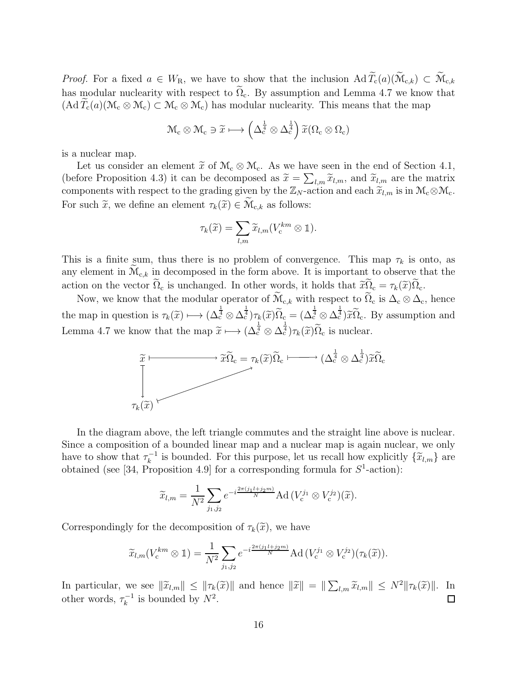*Proof.* For a fixed  $a \in W_R$ , we have to show that the inclusion  $\operatorname{Ad} \widetilde{T}_c(a)(\widetilde{M}_{c,k}) \subset \widetilde{M}_{c,k}$ has modular nuclearity with respect to  $\widetilde{\Omega}_{c}$ . By assumption and Lemma 4.7 we know that  $(\mathrm{Ad}\,T_c(a)(\mathcal{M}_c\otimes\mathcal{M}_c)\subset\mathcal{M}_c\otimes\mathcal{M}_c)$  has modular nuclearity. This means that the map

$$
\mathcal{M}_{\rm c}\otimes\mathcal{M}_{\rm c}\ni\widetilde{x}\longmapsto\left(\Delta_{\rm c}^{\frac{1}{4}}\otimes\Delta_{\rm c}^{\frac{1}{4}}\right)\widetilde{x}(\Omega_{\rm c}\otimes\Omega_{\rm c})
$$

is a nuclear map.

Let us consider an element  $\widetilde{x}$  of  $\mathcal{M}_c \otimes \mathcal{M}_c$ . As we have seen in the end of Section 4.1, (before Proposition 4.3) it can be decomposed as  $\tilde{x} = \sum_{l,m} \tilde{x}_{l,m}$ , and  $\tilde{x}_{l,m}$  are the matrix components with respect to the grading given by the  $\mathbb{Z}_N$ -action and each  $\widetilde{\mathcal{X}}_{l,m}$  is in  $\mathcal{M}_c \otimes \mathcal{M}_c$ . For such  $\tilde{x}$ , we define an element  $\tau_k(\tilde{x}) \in \widetilde{\mathcal{M}}_{c,k}$  as follows:

$$
\tau_k(\widetilde{x}) = \sum_{l,m} \widetilde{x}_{l,m}(V_c^{km} \otimes 1).
$$

This is a finite sum, thus there is no problem of convergence. This map  $\tau_k$  is onto, as any element in  $\widetilde{\mathcal{M}}_{c,k}$  in decomposed in the form above. It is important to observe that the action on the vector  $\tilde{\Omega}_c$  is unchanged. In other words, it holds that  $\tilde{x}\tilde{\Omega}_c = \tau_k(\tilde{x})\tilde{\Omega}_c$ .

Now, we know that the modular operator of  $\widetilde{M}_{c,k}$  with respect to  $\widetilde{\Omega}_c$  is  $\Delta_c \otimes \Delta_c$ , hence the map in question is  $\tau_k(\tilde{x}) \longmapsto (\Delta_c^{\frac{1}{4}} \otimes \Delta_c^{\frac{1}{4}}) \tau_k(\tilde{x}) \widetilde{\Omega}_c = (\Delta_c^{\frac{1}{4}} \otimes \Delta_c^{\frac{1}{4}}) \widetilde{x} \widetilde{\Omega}_c$ . By assumption and Lemma 4.7 we know that the map  $\widetilde{x} \longmapsto (\Delta_c^{\frac{1}{4}} \otimes \Delta_c^{\frac{1}{4}}) \tau_k(\widetilde{x}) \widetilde{\Omega}_c$  is nuclear.



In the diagram above, the left triangle commutes and the straight line above is nuclear. Since a composition of a bounded linear map and a nuclear map is again nuclear, we only have to show that  $\tau_k^{-1}$  is bounded. For this purpose, let us recall how explicitly  $\{\tilde{x}_{l,m}\}$  are obtained (see [34, Proposition 4.9] for a corresponding formula for  $S^1$ -action):

$$
\widetilde{x}_{l,m} = \frac{1}{N^2} \sum_{j_1,j_2} e^{-i\frac{2\pi (j_1l+j_2m)}{N}} \text{Ad}\left(V_c^{j_1} \otimes V_c^{j_2}\right)(\widetilde{x}).
$$

Correspondingly for the decomposition of  $\tau_k(\tilde{x})$ , we have

$$
\widetilde{x}_{l,m}(V_c^{km} \otimes 1) = \frac{1}{N^2} \sum_{j_1,j_2} e^{-i\frac{2\pi (j_1 l + j_2 m)}{N}} \mathrm{Ad}\left(V_c^{j_1} \otimes V_c^{j_2}\right)(\tau_k(\widetilde{x})).
$$

In particular, we see  $\|\tilde{x}_{l,m}\| \leq \|\tau_k(\tilde{x})\|$  and hence  $\|\tilde{x}\| = \|\sum_{l,m} \tilde{x}_{l,m}\| \leq N^2 \|\tau_k(\tilde{x})\|$ . In other words,  $\tau_k^{-1}$  is bounded by  $N^2$ .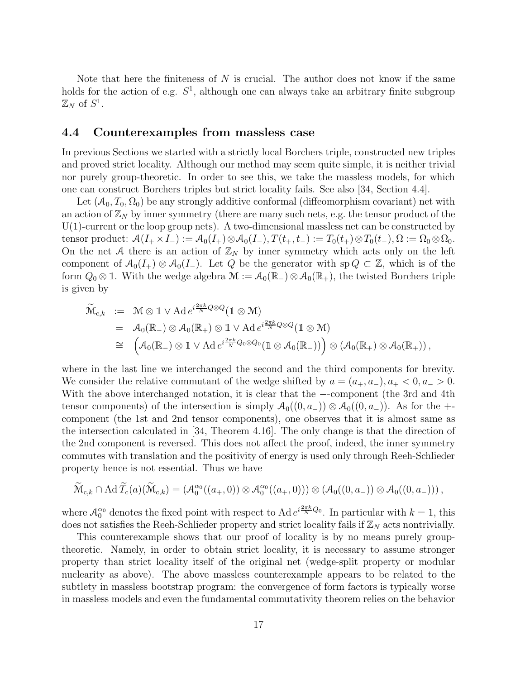Note that here the finiteness of N is crucial. The author does not know if the same holds for the action of e.g.  $S^1$ , although one can always take an arbitrary finite subgroup  $\mathbb{Z}_N$  of  $S^1$ .

## 4.4 Counterexamples from massless case

In previous Sections we started with a strictly local Borchers triple, constructed new triples and proved strict locality. Although our method may seem quite simple, it is neither trivial nor purely group-theoretic. In order to see this, we take the massless models, for which one can construct Borchers triples but strict locality fails. See also [34, Section 4.4].

Let  $(\mathcal{A}_0, T_0, \Omega_0)$  be any strongly additive conformal (diffeomorphism covariant) net with an action of  $\mathbb{Z}_N$  by inner symmetry (there are many such nets, e.g. the tensor product of the U(1)-current or the loop group nets). A two-dimensional massless net can be constructed by tensor product:  $\mathcal{A}(I_+ \times I_-) := \mathcal{A}_0(I_+) \otimes \mathcal{A}_0(I_-), T(t_+, t_-) := T_0(t_+) \otimes T_0(t_-), \Omega := \Omega_0 \otimes \Omega_0.$ On the net A there is an action of  $\mathbb{Z}_N$  by inner symmetry which acts only on the left component of  $A_0(I_+) \otimes A_0(I_-)$ . Let Q be the generator with sp  $Q \subset \mathbb{Z}$ , which is of the form  $Q_0 \otimes \mathbb{1}$ . With the wedge algebra  $\mathcal{M} := \mathcal{A}_0(\mathbb{R}_+) \otimes \mathcal{A}_0(\mathbb{R}_+)$ , the twisted Borchers triple is given by

$$
\begin{array}{rcl}\n\widetilde{\mathcal{M}}_{c,k} & := & \mathcal{M} \otimes \mathbbm{1} \vee \mathrm{Ad} \, e^{i \frac{2 \pi k}{N} Q \otimes Q} (\mathbbm{1} \otimes \mathcal{M}) \\
& = & \mathcal{A}_0(\mathbb{R}_-) \otimes \mathcal{A}_0(\mathbb{R}_+) \otimes \mathbbm{1} \vee \mathrm{Ad} \, e^{i \frac{2 \pi k}{N} Q \otimes Q} (\mathbbm{1} \otimes \mathcal{M}) \\
& \cong & \left( \mathcal{A}_0(\mathbb{R}_-) \otimes \mathbbm{1} \vee \mathrm{Ad} \, e^{i \frac{2 \pi k}{N} Q_0 \otimes Q_0} (\mathbbm{1} \otimes \mathcal{A}_0(\mathbb{R}_-)) \right) \otimes \left( \mathcal{A}_0(\mathbb{R}_+) \otimes \mathcal{A}_0(\mathbb{R}_+) \right),\n\end{array}
$$

where in the last line we interchanged the second and the third components for brevity. We consider the relative commutant of the wedge shifted by  $a = (a_+, a_-), a_+ < 0, a_- > 0$ . With the above interchanged notation, it is clear that the −-component (the 3rd and 4th tensor components) of the intersection is simply  $A_0((0, a_-)) \otimes A_0((0, a_-))$ . As for the +component (the 1st and 2nd tensor components), one observes that it is almost same as the intersection calculated in [34, Theorem 4.16]. The only change is that the direction of the 2nd component is reversed. This does not affect the proof, indeed, the inner symmetry commutes with translation and the positivity of energy is used only through Reeh-Schlieder property hence is not essential. Thus we have

$$
\widetilde{\mathcal{M}}_{c,k} \cap \mathrm{Ad}\, \widetilde{T}_c(a)(\widetilde{\mathcal{M}}_{c,k}) = \left(\mathcal{A}_0^{\alpha_0}((a_+,0)) \otimes \mathcal{A}_0^{\alpha_0}((a_+,0))\right) \otimes \left(\mathcal{A}_0((0,a_-)) \otimes \mathcal{A}_0((0,a_-))\right),
$$

where  $\mathcal{A}_0^{\alpha_0}$  denotes the fixed point with respect to Ad  $e^{i\frac{2\pi k}{N}Q_0}$ . In particular with  $k=1$ , this does not satisfies the Reeh-Schlieder property and strict locality fails if  $\mathbb{Z}_N$  acts nontrivially.

This counterexample shows that our proof of locality is by no means purely grouptheoretic. Namely, in order to obtain strict locality, it is necessary to assume stronger property than strict locality itself of the original net (wedge-split property or modular nuclearity as above). The above massless counterexample appears to be related to the subtlety in massless bootstrap program: the convergence of form factors is typically worse in massless models and even the fundamental commutativity theorem relies on the behavior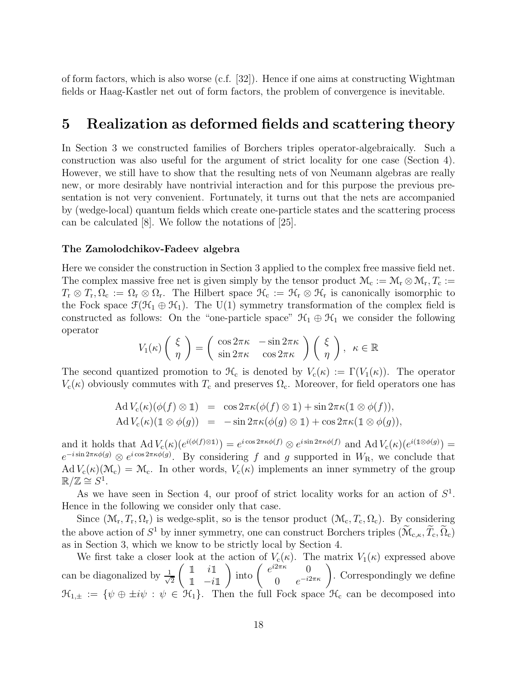of form factors, which is also worse (c.f. [32]). Hence if one aims at constructing Wightman fields or Haag-Kastler net out of form factors, the problem of convergence is inevitable.

# 5 Realization as deformed fields and scattering theory

In Section 3 we constructed families of Borchers triples operator-algebraically. Such a construction was also useful for the argument of strict locality for one case (Section 4). However, we still have to show that the resulting nets of von Neumann algebras are really new, or more desirably have nontrivial interaction and for this purpose the previous presentation is not very convenient. Fortunately, it turns out that the nets are accompanied by (wedge-local) quantum fields which create one-particle states and the scattering process can be calculated [8]. We follow the notations of [25].

#### The Zamolodchikov-Fadeev algebra

Here we consider the construction in Section 3 applied to the complex free massive field net. The complex massive free net is given simply by the tensor product  $\mathcal{M}_c := \mathcal{M}_r \otimes \mathcal{M}_r$ ,  $T_c :=$  $T_{\rm r} \otimes T_{\rm r}, \Omega_{\rm c} := \Omega_{\rm r} \otimes \Omega_{\rm r}$ . The Hilbert space  $\mathcal{H}_{\rm c} := \mathcal{H}_{\rm r} \otimes \mathcal{H}_{\rm r}$  is canonically isomorphic to the Fock space  $\mathcal{F}(\mathcal{H}_1 \oplus \mathcal{H}_1)$ . The U(1) symmetry transformation of the complex field is constructed as follows: On the "one-particle space"  $\mathcal{H}_1 \oplus \mathcal{H}_1$  we consider the following operator

$$
V_1(\kappa) \left( \begin{array}{c} \xi \\ \eta \end{array} \right) = \left( \begin{array}{cc} \cos 2\pi \kappa & -\sin 2\pi \kappa \\ \sin 2\pi \kappa & \cos 2\pi \kappa \end{array} \right) \left( \begin{array}{c} \xi \\ \eta \end{array} \right), \ \ \kappa \in \mathbb{R}
$$

The second quantized promotion to  $\mathcal{H}_c$  is denoted by  $V_c(\kappa) := \Gamma(V_1(\kappa))$ . The operator  $V_c(\kappa)$  obviously commutes with  $T_c$  and preserves  $\Omega_c$ . Moreover, for field operators one has

$$
\begin{array}{rcl}\n\operatorname{Ad}V_{\rm c}(\kappa)(\phi(f)\otimes 1) &=& \cos 2\pi\kappa(\phi(f)\otimes 1) + \sin 2\pi\kappa(1\otimes \phi(f)), \\
\operatorname{Ad}V_{\rm c}(\kappa)(1\otimes \phi(g)) &=& -\sin 2\pi\kappa(\phi(g)\otimes 1) + \cos 2\pi\kappa(1\otimes \phi(g)),\n\end{array}
$$

and it holds that  $\mathrm{Ad} V_c(\kappa)(e^{i(\phi(f)\otimes 1)}) = e^{i \cos 2\pi \kappa \phi(f)} \otimes e^{i \sin 2\pi \kappa \phi(f)}$  and  $\mathrm{Ad} V_c(\kappa)(e^{i(1\otimes \phi(g))}) =$  $e^{-i \sin 2\pi \kappa \phi(g)} \otimes e^{i \cos 2\pi \kappa \phi(g)}$ . By considering f and g supported in  $W_{\mathcal{R}}$ , we conclude that Ad  $V_c(\kappa)(\mathcal{M}_c) = \mathcal{M}_c$ . In other words,  $V_c(\kappa)$  implements an inner symmetry of the group  $\mathbb{R}/\mathbb{Z} \cong S^1$ .

As we have seen in Section 4, our proof of strict locality works for an action of  $S<sup>1</sup>$ . Hence in the following we consider only that case.

Since  $(\mathcal{M}_r, T_r, \Omega_r)$  is wedge-split, so is the tensor product  $(\mathcal{M}_c, T_c, \Omega_c)$ . By considering the above action of  $S^1$  by inner symmetry, one can construct Borchers triples  $(\widetilde{\mathcal{M}}_{c,\kappa}, \widetilde{T}_c, \widetilde{\Omega}_c)$ as in Section 3, which we know to be strictly local by Section 4.

We first take a closer look at the action of  $V_c(\kappa)$ . The matrix  $V_1(\kappa)$  expressed above can be diagonalized by  $\frac{1}{\sqrt{2}}$ 2  $\begin{pmatrix} 1 & i \end{pmatrix}$  $\frac{1}{\cdot}$  -il ) into  $\begin{pmatrix} e^{i2\pi\kappa} & 0 \\ 0 & e^{-i2\kappa} \end{pmatrix}$  $\begin{pmatrix} 2\pi\kappa & 0 \\ 0 & e^{-i2\pi\kappa} \end{pmatrix}$ . Correspondingly we define  $\mathfrak{H}_{1,\pm} := \{ \psi \oplus \pm i\psi : \psi \in \mathfrak{H}_1 \}.$  Then the full Fock space  $\mathfrak{H}_c$  can be decomposed into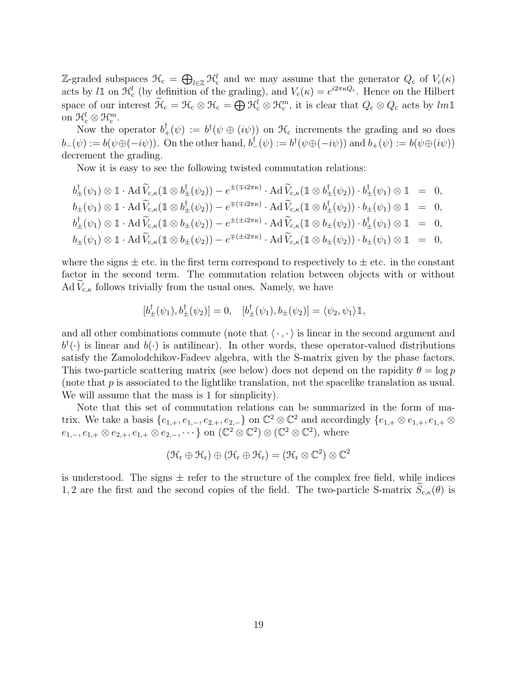Z-graded subspaces  $\mathcal{H}_c = \bigoplus_{l \in \mathbb{Z}} \mathcal{H}_c^l$  and we may assume that the generator  $Q_c$  of  $V_c(\kappa)$ acts by l1 on  $\mathcal{H}_c^l$  (by definition of the grading), and  $V_c(\kappa) = e^{i2\pi\kappa Q_c}$ . Hence on the Hilbert space of our interest  $\widetilde{\mathcal{H}}_{c} = \mathcal{H}_{c} \otimes \mathcal{H}_{c} = \bigoplus \mathcal{H}_{c}^{l} \otimes \mathcal{H}_{c}^{m}$ , it is clear that  $Q_{c} \otimes Q_{c}$  acts by  $lm\mathbb{1}$ on  $\mathcal{H}_c^l \otimes \mathcal{H}_c^m$ .

Now the operator  $b^{\dagger}_{+}(\psi) := b^{\dagger}(\psi \oplus (i\psi))$  on  $\mathcal{H}_{c}$  increments the grading and so does  $b_{-}(\psi) := b(\psi \oplus (-i\psi))$ . On the other hand,  $b_{-}^{\dagger}(\psi) := b^{\dagger}(\psi \oplus (-i\psi))$  and  $b_{+}(\psi) := b(\psi \oplus (i\psi))$ decrement the grading.

Now it is easy to see the following twisted commutation relations:

$$
b_{\pm}^{\dagger}(\psi_{1}) \otimes \mathbb{1} \cdot \operatorname{Ad} \widetilde{V}_{c,\kappa}(\mathbb{1} \otimes b_{\pm}^{\dagger}(\psi_{2})) - e^{\pm(\mp i2\pi\kappa)} \cdot \operatorname{Ad} \widetilde{V}_{c,\kappa}(\mathbb{1} \otimes b_{\pm}^{\dagger}(\psi_{2})) \cdot b_{\pm}^{\dagger}(\psi_{1}) \otimes \mathbb{1} = 0,
$$
  
\n
$$
b_{\pm}(\psi_{1}) \otimes \mathbb{1} \cdot \operatorname{Ad} \widetilde{V}_{c,\kappa}(\mathbb{1} \otimes b_{\pm}^{\dagger}(\psi_{2})) - e^{\mp(\mp i2\pi\kappa)} \cdot \operatorname{Ad} \widetilde{V}_{c,\kappa}(\mathbb{1} \otimes b_{\pm}^{\dagger}(\psi_{2})) \cdot b_{\pm}(\psi_{1}) \otimes \mathbb{1} = 0,
$$
  
\n
$$
b_{\pm}^{\dagger}(\psi_{1}) \otimes \mathbb{1} \cdot \operatorname{Ad} \widetilde{V}_{c,\kappa}(\mathbb{1} \otimes b_{\pm}(\psi_{2})) - e^{\pm(\pm i2\pi\kappa)} \cdot \operatorname{Ad} \widetilde{V}_{c,\kappa}(\mathbb{1} \otimes b_{\pm}(\psi_{2})) \cdot b_{\pm}^{\dagger}(\psi_{1}) \otimes \mathbb{1} = 0,
$$
  
\n
$$
b_{\pm}(\psi_{1}) \otimes \mathbb{1} \cdot \operatorname{Ad} \widetilde{V}_{c,\kappa}(\mathbb{1} \otimes b_{\pm}(\psi_{2})) - e^{\mp(\pm i2\pi\kappa)} \cdot \operatorname{Ad} \widetilde{V}_{c,\kappa}(\mathbb{1} \otimes b_{\pm}(\psi_{2})) \cdot b_{\pm}(\psi_{1}) \otimes \mathbb{1} = 0,
$$

where the signs  $\pm$  etc. in the first term correspond to respectively to  $\pm$  etc. in the constant factor in the second term. The commutation relation between objects with or without Ad  $V_{c,\kappa}$  follows trivially from the usual ones. Namely, we have

$$
[b_{\pm}^{\dagger}(\psi_1), b_{\pm}^{\dagger}(\psi_2)] = 0, \quad [b_{\pm}^{\dagger}(\psi_1), b_{\pm}(\psi_2)] = \langle \psi_2, \psi_1 \rangle \mathbb{1},
$$

and all other combinations commute (note that  $\langle \cdot, \cdot \rangle$  is linear in the second argument and  $b^{\dagger}(\cdot)$  is linear and  $b(\cdot)$  is antilinear). In other words, these operator-valued distributions satisfy the Zamolodchikov-Fadeev algebra, with the S-matrix given by the phase factors. This two-particle scattering matrix (see below) does not depend on the rapidity  $\theta = \log p$ (note that  $p$  is associated to the lightlike translation, not the spacelike translation as usual. We will assume that the mass is 1 for simplicity).

Note that this set of commutation relations can be summarized in the form of matrix. We take a basis  $\{e_{1,+}, e_{1,-}, e_{2,+}, e_{2,-}\}$  on  $\mathbb{C}^2 \otimes \mathbb{C}^2$  and accordingly  $\{e_{1,+} \otimes e_{1,+}, e_{1,+} \otimes e_{2,+}\}$  $e_{1,-}, e_{1,+} \otimes e_{2,+}, e_{1,+} \otimes e_{2,-}, \cdots \}$  on  $(\mathbb{C}^2 \otimes \mathbb{C}^2) \otimes (\mathbb{C}^2 \otimes \mathbb{C}^2)$ , where

$$
(\mathfrak{H}_r\oplus \mathfrak{H}_r)\oplus (\mathfrak{H}_r\oplus \mathfrak{H}_r)=(\mathfrak{H}_r\otimes \mathbb{C}^2)\otimes \mathbb{C}^2
$$

is understood. The signs  $\pm$  refer to the structure of the complex free field, while indices 1, 2 are the first and the second copies of the field. The two-particle S-matrix  $S_{c,\kappa}(\theta)$  is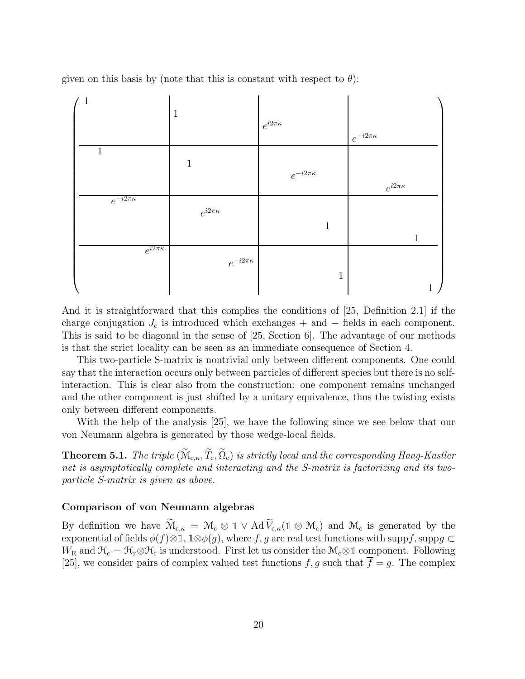given on this basis by (note that this is constant with respect to  $\theta$ ):



And it is straightforward that this complies the conditions of [25, Definition 2.1] if the charge conjugation  $J_c$  is introduced which exchanges + and  $-$  fields in each component. This is said to be diagonal in the sense of [25, Section 6]. The advantage of our methods is that the strict locality can be seen as an immediate consequence of Section 4.

This two-particle S-matrix is nontrivial only between different components. One could say that the interaction occurs only between particles of different species but there is no selfinteraction. This is clear also from the construction: one component remains unchanged and the other component is just shifted by a unitary equivalence, thus the twisting exists only between different components.

With the help of the analysis [25], we have the following since we see below that our von Neumann algebra is generated by those wedge-local fields.

**Theorem 5.1.** *The triple*  $(\widetilde{M}_{c,\kappa}, \widetilde{T}_c, \widetilde{\Omega}_c)$  *is strictly local and the corresponding Haag-Kastler net is asymptotically complete and interacting and the S-matrix is factorizing and its twoparticle S-matrix is given as above.*

#### Comparison of von Neumann algebras

By definition we have  $\widetilde{\mathcal{M}}_{c,\kappa} = \mathcal{M}_c \otimes \mathbb{1} \vee \text{Ad}\,\widetilde{V}_{c,\kappa}(\mathbb{1} \otimes \mathcal{M}_c)$  and  $\mathcal{M}_c$  is generated by the exponential of fields  $\phi(f) \otimes 1$ ,  $1 \otimes \phi(g)$ , where f, g are real test functions with suppf, suppg ⊂  $W_R$  and  $\mathcal{H}_c = \mathcal{H}_r \otimes \mathcal{H}_r$  is understood. First let us consider the  $\mathcal{M}_c \otimes \mathbb{1}$  component. Following [25], we consider pairs of complex valued test functions  $f, g$  such that  $\overline{f} = g$ . The complex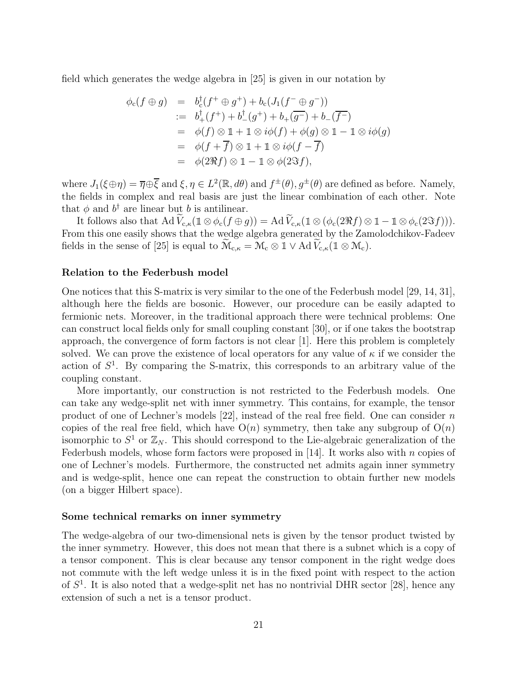field which generates the wedge algebra in [25] is given in our notation by

$$
\begin{array}{rcl}\n\phi_{\rm c}(f \oplus g) & = & b_{\rm c}^{\dagger}(f^{+} \oplus g^{+}) + b_{\rm c}(J_{1}(f^{-} \oplus g^{-})) \\
& := & b_{+}^{\dagger}(f^{+}) + b_{-}^{\dagger}(g^{+}) + b_{+}(\overline{g^{-}}) + b_{-}(\overline{f^{-}}) \\
& = & \phi(f) \otimes 1 + 1 \otimes i\phi(f) + \phi(g) \otimes 1 - 1 \otimes i\phi(g) \\
& = & \phi(f + \overline{f}) \otimes 1 + 1 \otimes i\phi(f - \overline{f}) \\
& = & \phi(2\Re f) \otimes 1 - 1 \otimes \phi(2\Im f),\n\end{array}
$$

where  $J_1(\xi \oplus \eta) = \overline{\eta} \oplus \overline{\xi}$  and  $\xi, \eta \in L^2(\mathbb{R}, d\theta)$  and  $f^{\pm}(\theta), g^{\pm}(\theta)$  are defined as before. Namely, the fields in complex and real basis are just the linear combination of each other. Note that  $\phi$  and  $b^{\dagger}$  are linear but b is antilinear.

It follows also that  $\text{Ad } \widetilde{V}_{c,\kappa}(1 \otimes \phi_c(f \oplus g)) = \text{Ad } \widetilde{V}_{c,\kappa}(1 \otimes (\phi_c(2\Re f) \otimes 1 - 1 \otimes \phi_c(2\Im f))).$ From this one easily shows that the wedge algebra generated by the Zamolodchikov-Fadeev fields in the sense of [25] is equal to  $\widetilde{\mathcal{M}}_{c,\kappa} = \mathcal{M}_c \otimes \mathbb{I} \vee \text{Ad}\,\widetilde{V}_{c,\kappa}(\mathbb{I} \otimes \mathcal{M}_c).$ 

#### Relation to the Federbush model

One notices that this S-matrix is very similar to the one of the Federbush model [29, 14, 31], although here the fields are bosonic. However, our procedure can be easily adapted to fermionic nets. Moreover, in the traditional approach there were technical problems: One can construct local fields only for small coupling constant [30], or if one takes the bootstrap approach, the convergence of form factors is not clear [1]. Here this problem is completely solved. We can prove the existence of local operators for any value of  $\kappa$  if we consider the action of  $S<sup>1</sup>$ . By comparing the S-matrix, this corresponds to an arbitrary value of the coupling constant.

More importantly, our construction is not restricted to the Federbush models. One can take any wedge-split net with inner symmetry. This contains, for example, the tensor product of one of Lechner's models [22], instead of the real free field. One can consider n copies of the real free field, which have  $O(n)$  symmetry, then take any subgroup of  $O(n)$ isomorphic to  $S^1$  or  $\mathbb{Z}_N$ . This should correspond to the Lie-algebraic generalization of the Federbush models, whose form factors were proposed in [14]. It works also with n copies of one of Lechner's models. Furthermore, the constructed net admits again inner symmetry and is wedge-split, hence one can repeat the construction to obtain further new models (on a bigger Hilbert space).

#### Some technical remarks on inner symmetry

The wedge-algebra of our two-dimensional nets is given by the tensor product twisted by the inner symmetry. However, this does not mean that there is a subnet which is a copy of a tensor component. This is clear because any tensor component in the right wedge does not commute with the left wedge unless it is in the fixed point with respect to the action of  $S<sup>1</sup>$ . It is also noted that a wedge-split net has no nontrivial DHR sector [28], hence any extension of such a net is a tensor product.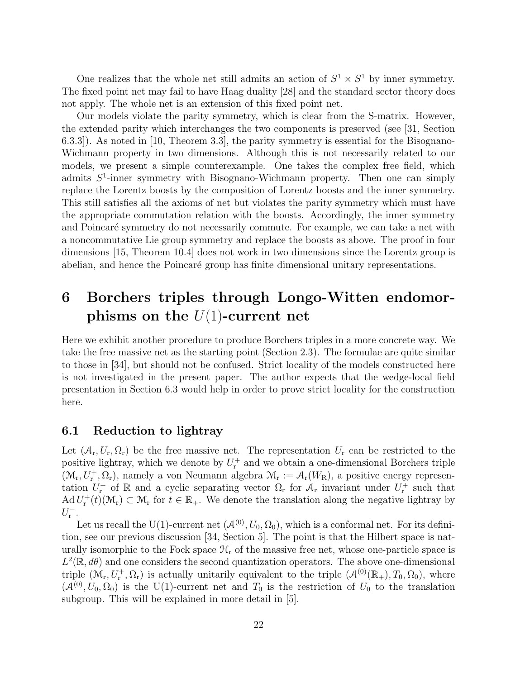One realizes that the whole net still admits an action of  $S^1 \times S^1$  by inner symmetry. The fixed point net may fail to have Haag duality [28] and the standard sector theory does not apply. The whole net is an extension of this fixed point net.

Our models violate the parity symmetry, which is clear from the S-matrix. However, the extended parity which interchanges the two components is preserved (see [31, Section 6.3.3]). As noted in [10, Theorem 3.3], the parity symmetry is essential for the Bisognano-Wichmann property in two dimensions. Although this is not necessarily related to our models, we present a simple counterexample. One takes the complex free field, which admits  $S^1$ -inner symmetry with Bisognano-Wichmann property. Then one can simply replace the Lorentz boosts by the composition of Lorentz boosts and the inner symmetry. This still satisfies all the axioms of net but violates the parity symmetry which must have the appropriate commutation relation with the boosts. Accordingly, the inner symmetry and Poincaré symmetry do not necessarily commute. For example, we can take a net with a noncommutative Lie group symmetry and replace the boosts as above. The proof in four dimensions [15, Theorem 10.4] does not work in two dimensions since the Lorentz group is abelian, and hence the Poincaré group has finite dimensional unitary representations.

# 6 Borchers triples through Longo-Witten endomorphisms on the  $U(1)$ -current net

Here we exhibit another procedure to produce Borchers triples in a more concrete way. We take the free massive net as the starting point (Section 2.3). The formulae are quite similar to those in [34], but should not be confused. Strict locality of the models constructed here is not investigated in the present paper. The author expects that the wedge-local field presentation in Section 6.3 would help in order to prove strict locality for the construction here.

## 6.1 Reduction to lightray

Let  $(\mathcal{A}_r, U_r, \Omega_r)$  be the free massive net. The representation  $U_r$  can be restricted to the positive lightray, which we denote by  $U_r^+$  and we obtain a one-dimensional Borchers triple  $(\mathcal{M}_r, U_r^+, \Omega_r)$ , namely a von Neumann algebra  $\mathcal{M}_r := \mathcal{A}_r(W_R)$ , a positive energy representation  $U_r^+$  of R and a cyclic separating vector  $\Omega_r$  for  $\mathcal{A}_r$  invariant under  $U_r^+$  such that  $\operatorname{Ad} U_{\mathbf{r}}^+(t)(\mathcal{M}_{\mathbf{r}}) \subset \mathcal{M}_{\mathbf{r}}$  for  $t \in \mathbb{R}_+$ . We denote the translation along the negative lightray by  $U_{\mathbf{r}}^{-}$ .

Let us recall the U(1)-current net  $(\mathcal{A}^{(0)}, U_0, \Omega_0)$ , which is a conformal net. For its definition, see our previous discussion [34, Section 5]. The point is that the Hilbert space is naturally isomorphic to the Fock space  $\mathcal{H}_r$  of the massive free net, whose one-particle space is  $L^2(\mathbb{R}, d\theta)$  and one considers the second quantization operators. The above one-dimensional triple  $(\mathcal{M}_r, U_r^+, \Omega_r)$  is actually unitarily equivalent to the triple  $(\mathcal{A}^{(0)}(\mathbb{R}_+), T_0, \Omega_0)$ , where  $(\mathcal{A}^{(0)}, U_0, \Omega_0)$  is the U(1)-current net and  $T_0$  is the restriction of  $U_0$  to the translation subgroup. This will be explained in more detail in [5].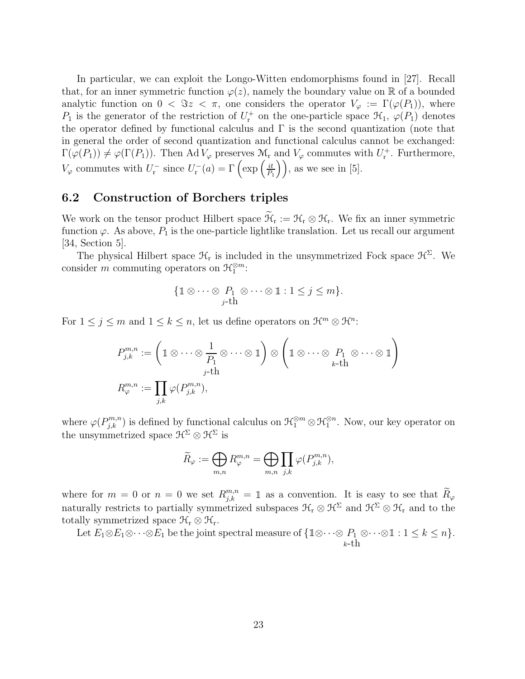In particular, we can exploit the Longo-Witten endomorphisms found in [27]. Recall that, for an inner symmetric function  $\varphi(z)$ , namely the boundary value on R of a bounded analytic function on  $0 < \Im z < \pi$ , one considers the operator  $V_{\varphi} := \Gamma(\varphi(P_1))$ , where  $P_1$  is the generator of the restriction of  $U_r^+$  on the one-particle space  $\mathcal{H}_1$ ,  $\varphi(P_1)$  denotes the operator defined by functional calculus and  $\Gamma$  is the second quantization (note that in general the order of second quantization and functional calculus cannot be exchanged:  $\Gamma(\varphi(P_1)) \neq \varphi(\Gamma(P_1))$ . Then Ad  $V_{\varphi}$  preserves  $\mathcal{M}_r$  and  $V_{\varphi}$  commutes with  $U_r^+$ . Furthermore,  $V_{\varphi}$  commutes with  $U_{\mathbf{r}}^-$  since  $U_{\mathbf{r}}^-(a) = \Gamma\left(\exp\left(\frac{it}{P_1}\right)\right)$  $\left(\frac{it}{P_1}\right)$ , as we see in [5].

## 6.2 Construction of Borchers triples

We work on the tensor product Hilbert space  $\widetilde{\mathcal{H}}_r := \mathcal{H}_r \otimes \mathcal{H}_r$ . We fix an inner symmetric function  $\varphi$ . As above,  $P_1$  is the one-particle lightlike translation. Let us recall our argument [34, Section 5].

The physical Hilbert space  $\mathcal{H}_r$  is included in the unsymmetrized Fock space  $\mathcal{H}^{\Sigma}$ . We consider m commuting operators on  $\mathcal{H}_1^{\otimes m}$ :

$$
\{1\!\!1 \otimes \cdots \otimes P_1 \otimes \cdots \otimes 1: 1 \leq j \leq m\}.
$$
  

$$
j\text{-th}
$$

For  $1 \leq j \leq m$  and  $1 \leq k \leq n$ , let us define operators on  $\mathcal{H}^m \otimes \mathcal{H}^n$ :

$$
P_{j,k}^{m,n} := \left(\mathbb{1} \otimes \cdots \otimes \frac{1}{P_1} \otimes \cdots \otimes \mathbb{1}\right) \otimes \left(\mathbb{1} \otimes \cdots \otimes \mathbb{1}_{k-\text{th}} P_1 \otimes \cdots \otimes \mathbb{1}_{k-\text{th}}\right)
$$

$$
R_{\varphi}^{m,n} := \prod_{j,k} \varphi(P_{j,k}^{m,n}),
$$

where  $\varphi(P_{j,k}^{m,n})$  is defined by functional calculus on  $\mathcal{H}_1^{\otimes m} \otimes \mathcal{H}_1^{\otimes n}$ . Now, our key operator on the unsymmetrized space  $\mathcal{H}^{\Sigma} \otimes \mathcal{H}^{\Sigma}$  is

$$
\widetilde{R}_{\varphi} := \bigoplus_{m,n} R_{\varphi}^{m,n} = \bigoplus_{m,n} \prod_{j,k} \varphi(P_{j,k}^{m,n}),
$$

where for  $m = 0$  or  $n = 0$  we set  $R_{j,k}^{m,n} = \mathbb{1}$  as a convention. It is easy to see that  $\widetilde{R}_{\varphi}$ naturally restricts to partially symmetrized subspaces  $\mathcal{H}_r \otimes \mathcal{H}^{\Sigma}$  and  $\mathcal{H}^{\Sigma} \otimes \mathcal{H}_r$  and to the totally symmetrized space  $\mathcal{H}_r \otimes \mathcal{H}_r$ .

Let  $E_1 \otimes E_1 \otimes \cdots \otimes E_1$  be the joint spectral measure of  $\{1 \otimes \cdots \otimes P_1\}$  $k$ -th ⊗ $\cdots \otimes \mathbb{1}: 1 \leq k \leq n$  }.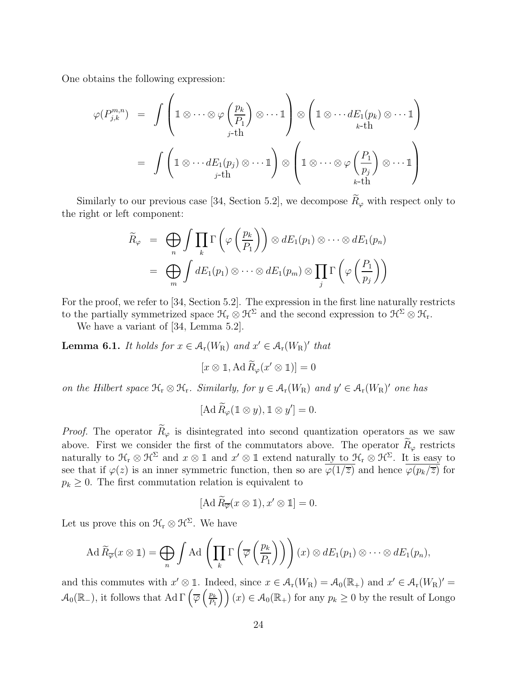One obtains the following expression:

$$
\varphi(P_{j,k}^{m,n}) = \int \left( \mathbb{1} \otimes \cdots \otimes \varphi\left(\frac{p_k}{P_1}\right) \otimes \cdots \mathbb{1} \right) \otimes \left( \mathbb{1} \otimes \cdots dE_1(p_k) \otimes \cdots \mathbb{1} \right)
$$

$$
= \int \left( \mathbb{1} \otimes \cdots dE_1(p_j) \otimes \cdots \mathbb{1} \right) \otimes \left( \mathbb{1} \otimes \cdots \otimes \varphi\left(\frac{P_1}{p_j}\right) \otimes \cdots \mathbb{1} \right)
$$

$$
= \int \left( \mathbb{1} \otimes \cdots dE_1(p_j) \otimes \cdots \mathbb{1} \right) \otimes \left( \mathbb{1} \otimes \cdots \otimes \varphi\left(\frac{P_1}{p_j}\right) \otimes \cdots \mathbb{1} \right)
$$

Similarly to our previous case [34, Section 5.2], we decompose  $\widetilde{R}_{\varphi}$  with respect only to the right or left component:

$$
\widetilde{R}_{\varphi} = \bigoplus_{n} \int \prod_{k} \Gamma\left(\varphi\left(\frac{p_{k}}{P_{1}}\right)\right) \otimes dE_{1}(p_{1}) \otimes \cdots \otimes dE_{1}(p_{n})
$$
\n
$$
= \bigoplus_{m} \int dE_{1}(p_{1}) \otimes \cdots \otimes dE_{1}(p_{m}) \otimes \prod_{j} \Gamma\left(\varphi\left(\frac{P_{1}}{p_{j}}\right)\right)
$$

For the proof, we refer to [34, Section 5.2]. The expression in the first line naturally restricts to the partially symmetrized space  $\mathcal{H}_r \otimes \mathcal{H}^{\Sigma}$  and the second expression to  $\mathcal{H}^{\Sigma} \otimes \mathcal{H}_r$ .

We have a variant of [34, Lemma 5.2].

**Lemma 6.1.** *It holds for*  $x \in A_r(W_R)$  *and*  $x' \in A_r(W_R)'$  *that* 

$$
[x \otimes \mathbb{1}, \operatorname{Ad} \widetilde{R}_{\varphi}(x' \otimes \mathbb{1})] = 0
$$

*on the Hilbert space*  $\mathcal{H}_r \otimes \mathcal{H}_r$ *. Similarly, for*  $y \in \mathcal{A}_r(W_R)$  *and*  $y' \in \mathcal{A}_r(W_R)'$  *one has* 

$$
[\mathrm{Ad}\,\widetilde{R}_{\varphi}(\mathbb{1}\otimes y),\mathbb{1}\otimes y']=0.
$$

*Proof.* The operator  $\widetilde{R}_{\varphi}$  is disintegrated into second quantization operators as we saw above. First we consider the first of the commutators above. The operator  $\widetilde{R}_{\varphi}$  restricts naturally to  $\mathcal{H}_{r} \otimes \mathcal{H}^{\Sigma}$  and  $x \otimes 1$  and  $x' \otimes 1$  extend naturally to  $\mathcal{H}_{r} \otimes \mathcal{H}^{\Sigma}$ . It is easy to see that if  $\varphi(z)$  is an inner symmetric function, then so are  $\overline{\varphi(1/\overline{z})}$  and hence  $\overline{\varphi(p_k/\overline{z})}$  for  $p_k \geq 0$ . The first commutation relation is equivalent to

$$
[\mathrm{Ad}\,\widetilde{R}_{\overline{\varphi}}(x\otimes\mathbb{1}),x'\otimes\mathbb{1}]=0.
$$

Let us prove this on  $\mathcal{H}_r \otimes \mathcal{H}^\Sigma$ . We have

$$
\operatorname{Ad} \widetilde{R}_{\overline{\varphi}}(x \otimes 1) = \bigoplus_{n} \int \operatorname{Ad} \left( \prod_{k} \Gamma \left( \overline{\varphi} \left( \frac{p_k}{P_1} \right) \right) \right) (x) \otimes dE_1(p_1) \otimes \cdots \otimes dE_1(p_n),
$$

and this commutes with  $x' \otimes \mathbb{1}$ . Indeed, since  $x \in \mathcal{A}_r(W_R) = \mathcal{A}_0(\mathbb{R}_+)$  and  $x' \in \mathcal{A}_r(W_R)' =$  $\mathcal{A}_0(\mathbb{R}_-)$ , it follows that Ad  $\Gamma\left(\overline{\varphi}\left(\frac{p_k}{P_1}\right)\right)$  $\left(\frac{p_k}{P_1}\right)(x) \in \mathcal{A}_0(\mathbb{R}_+)$  for any  $p_k \geq 0$  by the result of Longo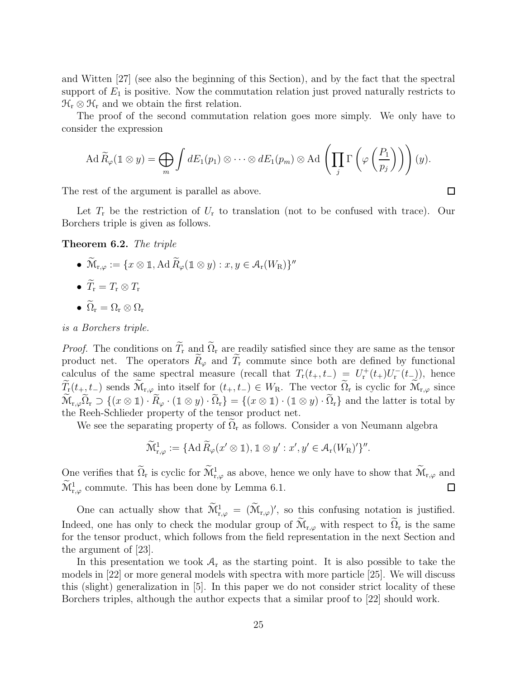and Witten [27] (see also the beginning of this Section), and by the fact that the spectral support of  $E_1$  is positive. Now the commutation relation just proved naturally restricts to  $\mathfrak{H}_{r} \otimes \mathfrak{H}_{r}$  and we obtain the first relation.

The proof of the second commutation relation goes more simply. We only have to consider the expression

$$
\operatorname{Ad} \widetilde{R}_{\varphi}(\mathbb{1} \otimes y) = \bigoplus_{m} \int dE_1(p_1) \otimes \cdots \otimes dE_1(p_m) \otimes \operatorname{Ad} \left( \prod_j \Gamma \left( \varphi \left( \frac{P_1}{p_j} \right) \right) \right) (y).
$$

The rest of the argument is parallel as above.

Let  $T_r$  be the restriction of  $U_r$  to translation (not to be confused with trace). Our Borchers triple is given as follows.

Theorem 6.2. *The triple*

- $\widetilde{\mathcal{M}}_{r,\varphi} := \{x \otimes \mathbb{1}, \text{Ad}\,\widetilde{R}_{\varphi}(\mathbb{1} \otimes y) : x, y \in \mathcal{A}_{r}(W_{R})\}''$
- $\widetilde{T}_{r} = T_{r} \otimes T_{r}$
- $\widetilde{\Omega}_r = \Omega_r \otimes \Omega_r$

*is a Borchers triple.*

*Proof.* The conditions on  $\widetilde{T}_r$  and  $\widetilde{\Omega}_r$  are readily satisfied since they are same as the tensor product net. The operators  $\widetilde{R}_{\varphi}$  and  $\widetilde{T}_{r}$  commute since both are defined by functional calculus of the same spectral measure (recall that  $T_{\rm r}(t_{+}, t_{-}) = U_{\rm r}^{+}(t_{+})U_{\rm r}^{-}(t_{-})$ ), hence  $\widetilde{T}_{\mathbf{r}}(t_{+}, t_{-})$  sends  $\widetilde{\mathcal{M}}_{\mathbf{r}, \varphi}$  into itself for  $(t_{+}, t_{-}) \in W_{\mathbf{R}}$ . The vector  $\widetilde{\Omega}_{\mathbf{r}}$  is cyclic for  $\widetilde{\mathcal{M}}_{\mathbf{r}, \varphi}$  since  $\widetilde{\mathcal{M}}_{r,\varphi}\widetilde{\Omega}_r \supset \{(x \otimes \mathbb{1}) \cdot \widetilde{R}_{\varphi} \cdot (\mathbb{1} \otimes y) \cdot \widetilde{\Omega}_r\} = \{(x \otimes \mathbb{1}) \cdot (\mathbb{1} \otimes y) \cdot \widetilde{\Omega}_r\}$  and the latter is total by the Reeh-Schlieder property of the tensor product net.

We see the separating property of  $\Omega_r$  as follows. Consider a von Neumann algebra

$$
\widetilde{\mathcal{M}}^1_{r,\varphi} := \{ \mathrm{Ad}\, \widetilde{R}_{\varphi}(x' \otimes \mathbb{1}), \mathbb{1} \otimes y' : x', y' \in \mathcal{A}_r(W_R)'\}''.
$$

One verifies that  $\widetilde{\Omega}_r$  is cyclic for  $\widetilde{\mathcal{M}}_{r,\varphi}^1$  as above, hence we only have to show that  $\widetilde{\mathcal{M}}_{r,\varphi}$  and  $\widetilde{\mathcal{M}}_{r,\varphi}^1$  commute. This has been done by Lemma 6.1.  $\Box$ 

One can actually show that  $\widetilde{\mathcal{M}}_{r,\varphi}^1 = (\widetilde{\mathcal{M}}_{r,\varphi})'$ , so this confusing notation is justified. Indeed, one has only to check the modular group of  $\widetilde{\mathcal{M}}_{r,\varphi}$  with respect to  $\widetilde{\Omega}_r$  is the same for the tensor product, which follows from the field representation in the next Section and the argument of [23].

In this presentation we took  $A_r$  as the starting point. It is also possible to take the models in [22] or more general models with spectra with more particle [25]. We will discuss this (slight) generalization in [5]. In this paper we do not consider strict locality of these Borchers triples, although the author expects that a similar proof to [22] should work.

 $\Box$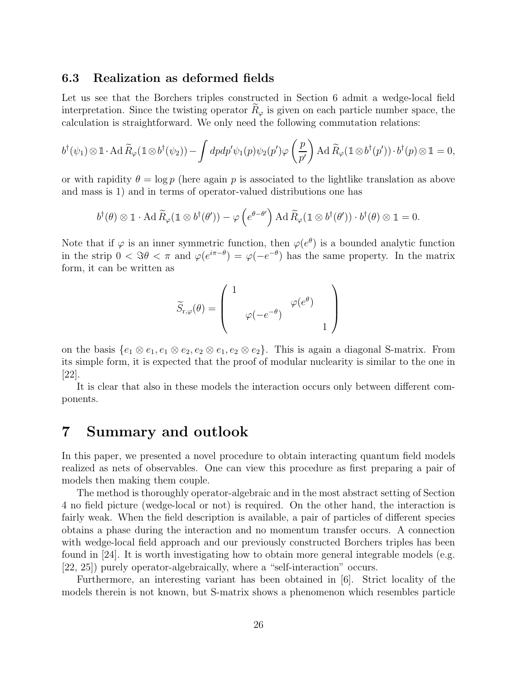### 6.3 Realization as deformed fields

Let us see that the Borchers triples constructed in Section 6 admit a wedge-local field interpretation. Since the twisting operator  $R_{\varphi}$  is given on each particle number space, the calculation is straightforward. We only need the following commutation relations:

$$
b^{\dagger}(\psi_1) \otimes \mathbb{1} \cdot \operatorname{Ad} \widetilde{R}_{\varphi}(\mathbb{1} \otimes b^{\dagger}(\psi_2)) - \int dp dp' \psi_1(p) \psi_2(p') \varphi \left(\frac{p}{p'}\right) \operatorname{Ad} \widetilde{R}_{\varphi}(\mathbb{1} \otimes b^{\dagger}(p')) \cdot b^{\dagger}(p) \otimes \mathbb{1} = 0,
$$

or with rapidity  $\theta = \log p$  (here again p is associated to the lightlike translation as above and mass is 1) and in terms of operator-valued distributions one has

$$
b^{\dagger}(\theta) \otimes \mathbb{1} \cdot \operatorname{Ad} \widetilde{R}_{\varphi}(\mathbb{1} \otimes b^{\dagger}(\theta')) - \varphi\left(e^{\theta-\theta'}\right) \operatorname{Ad} \widetilde{R}_{\varphi}(\mathbb{1} \otimes b^{\dagger}(\theta')) \cdot b^{\dagger}(\theta) \otimes \mathbb{1} = 0.
$$

Note that if  $\varphi$  is an inner symmetric function, then  $\varphi(e^{\theta})$  is a bounded analytic function in the strip  $0 < \Im \theta < \pi$  and  $\varphi(e^{i\pi-\theta}) = \varphi(-e^{-\theta})$  has the same property. In the matrix form, it can be written as

$$
\widetilde{S}_{\mathbf{r},\varphi}(\theta) = \left(\begin{array}{cc} 1 & & \\ & \varphi(-e^{-\theta}) & \\ & & 1 \end{array}\right)
$$

on the basis  $\{e_1 \otimes e_1, e_1 \otimes e_2, e_2 \otimes e_1, e_2 \otimes e_2\}$ . This is again a diagonal S-matrix. From its simple form, it is expected that the proof of modular nuclearity is similar to the one in [22].

It is clear that also in these models the interaction occurs only between different components.

# 7 Summary and outlook

In this paper, we presented a novel procedure to obtain interacting quantum field models realized as nets of observables. One can view this procedure as first preparing a pair of models then making them couple.

The method is thoroughly operator-algebraic and in the most abstract setting of Section 4 no field picture (wedge-local or not) is required. On the other hand, the interaction is fairly weak. When the field description is available, a pair of particles of different species obtains a phase during the interaction and no momentum transfer occurs. A connection with wedge-local field approach and our previously constructed Borchers triples has been found in [24]. It is worth investigating how to obtain more general integrable models (e.g. [22, 25]) purely operator-algebraically, where a "self-interaction" occurs.

Furthermore, an interesting variant has been obtained in [6]. Strict locality of the models therein is not known, but S-matrix shows a phenomenon which resembles particle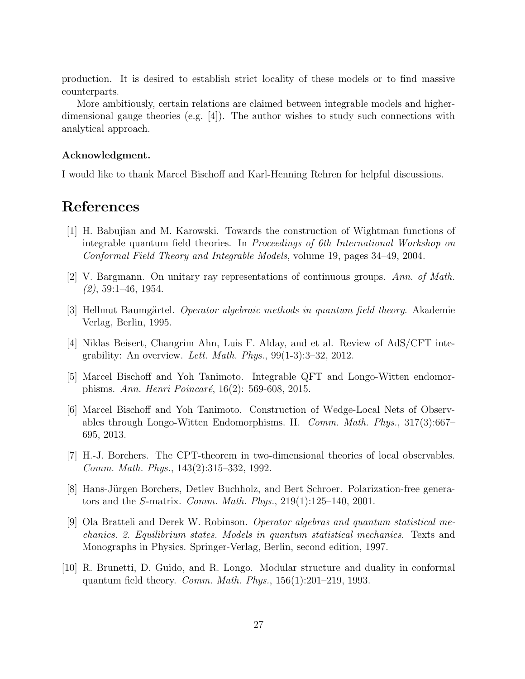production. It is desired to establish strict locality of these models or to find massive counterparts.

More ambitiously, certain relations are claimed between integrable models and higherdimensional gauge theories (e.g. [4]). The author wishes to study such connections with analytical approach.

#### Acknowledgment.

I would like to thank Marcel Bischoff and Karl-Henning Rehren for helpful discussions.

# References

- [1] H. Babujian and M. Karowski. Towards the construction of Wightman functions of integrable quantum field theories. In *Proceedings of 6th International Workshop on Conformal Field Theory and Integrable Models*, volume 19, pages 34–49, 2004.
- [2] V. Bargmann. On unitary ray representations of continuous groups. *Ann. of Math. (2)*, 59:1–46, 1954.
- [3] Hellmut Baumgärtel. *Operator algebraic methods in quantum field theory*. Akademie Verlag, Berlin, 1995.
- [4] Niklas Beisert, Changrim Ahn, Luis F. Alday, and et al. Review of AdS/CFT integrability: An overview. *Lett. Math. Phys.*, 99(1-3):3–32, 2012.
- [5] Marcel Bischoff and Yoh Tanimoto. Integrable QFT and Longo-Witten endomorphisms. *Ann. Henri Poincaré*, 16(2): 569-608, 2015.
- [6] Marcel Bischoff and Yoh Tanimoto. Construction of Wedge-Local Nets of Observables through Longo-Witten Endomorphisms. II. *Comm. Math. Phys.*, 317(3):667– 695, 2013.
- [7] H.-J. Borchers. The CPT-theorem in two-dimensional theories of local observables. *Comm. Math. Phys.*, 143(2):315–332, 1992.
- [8] Hans-Jürgen Borchers, Detlev Buchholz, and Bert Schroer. Polarization-free generators and the S-matrix. *Comm. Math. Phys.*, 219(1):125–140, 2001.
- [9] Ola Bratteli and Derek W. Robinson. *Operator algebras and quantum statistical mechanics. 2. Equilibrium states. Models in quantum statistical mechanics*. Texts and Monographs in Physics. Springer-Verlag, Berlin, second edition, 1997.
- [10] R. Brunetti, D. Guido, and R. Longo. Modular structure and duality in conformal quantum field theory. *Comm. Math. Phys.*, 156(1):201–219, 1993.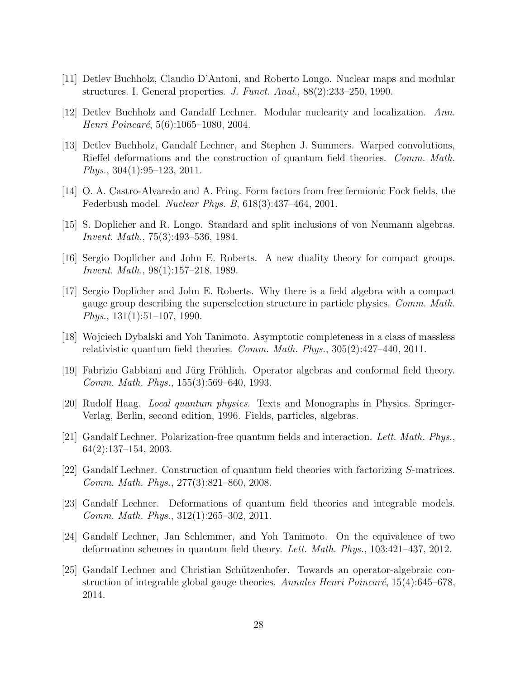- [11] Detlev Buchholz, Claudio D'Antoni, and Roberto Longo. Nuclear maps and modular structures. I. General properties. *J. Funct. Anal.*, 88(2):233–250, 1990.
- [12] Detlev Buchholz and Gandalf Lechner. Modular nuclearity and localization. *Ann. Henri Poincaré*, 5(6):1065–1080, 2004.
- [13] Detlev Buchholz, Gandalf Lechner, and Stephen J. Summers. Warped convolutions, Rieffel deformations and the construction of quantum field theories. *Comm. Math. Phys.*, 304(1):95–123, 2011.
- [14] O. A. Castro-Alvaredo and A. Fring. Form factors from free fermionic Fock fields, the Federbush model. *Nuclear Phys. B*, 618(3):437–464, 2001.
- [15] S. Doplicher and R. Longo. Standard and split inclusions of von Neumann algebras. *Invent. Math.*, 75(3):493–536, 1984.
- [16] Sergio Doplicher and John E. Roberts. A new duality theory for compact groups. *Invent. Math.*, 98(1):157–218, 1989.
- [17] Sergio Doplicher and John E. Roberts. Why there is a field algebra with a compact gauge group describing the superselection structure in particle physics. *Comm. Math. Phys.*, 131(1):51–107, 1990.
- [18] Wojciech Dybalski and Yoh Tanimoto. Asymptotic completeness in a class of massless relativistic quantum field theories. *Comm. Math. Phys.*, 305(2):427–440, 2011.
- [19] Fabrizio Gabbiani and Jürg Fröhlich. Operator algebras and conformal field theory. *Comm. Math. Phys.*, 155(3):569–640, 1993.
- [20] Rudolf Haag. *Local quantum physics*. Texts and Monographs in Physics. Springer-Verlag, Berlin, second edition, 1996. Fields, particles, algebras.
- [21] Gandalf Lechner. Polarization-free quantum fields and interaction. *Lett. Math. Phys.*, 64(2):137–154, 2003.
- [22] Gandalf Lechner. Construction of quantum field theories with factorizing S-matrices. *Comm. Math. Phys.*, 277(3):821–860, 2008.
- [23] Gandalf Lechner. Deformations of quantum field theories and integrable models. *Comm. Math. Phys.*, 312(1):265–302, 2011.
- [24] Gandalf Lechner, Jan Schlemmer, and Yoh Tanimoto. On the equivalence of two deformation schemes in quantum field theory. *Lett. Math. Phys.*, 103:421–437, 2012.
- [25] Gandalf Lechner and Christian Schützenhofer. Towards an operator-algebraic construction of integrable global gauge theories. *Annales Henri Poincaré*, 15(4):645–678, 2014.